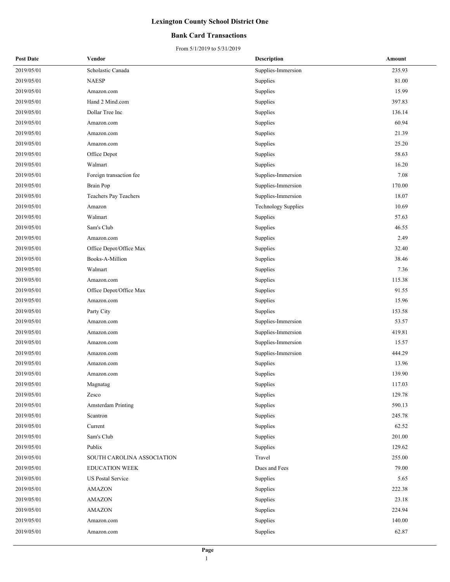#### **Bank Card Transactions**

| <b>Post Date</b> | Vendor                     | <b>Description</b>         | Amount |
|------------------|----------------------------|----------------------------|--------|
| 2019/05/01       | Scholastic Canada          | Supplies-Immersion         | 235.93 |
| 2019/05/01       | <b>NAESP</b>               | Supplies                   | 81.00  |
| 2019/05/01       | Amazon.com                 | Supplies                   | 15.99  |
| 2019/05/01       | Hand 2 Mind.com            | Supplies                   | 397.83 |
| 2019/05/01       | Dollar Tree Inc            | Supplies                   | 136.14 |
| 2019/05/01       | Amazon.com                 | Supplies                   | 60.94  |
| 2019/05/01       | Amazon.com                 | Supplies                   | 21.39  |
| 2019/05/01       | Amazon.com                 | Supplies                   | 25.20  |
| 2019/05/01       | Office Depot               | Supplies                   | 58.63  |
| 2019/05/01       | Walmart                    | Supplies                   | 16.20  |
| 2019/05/01       | Foreign transaction fee    | Supplies-Immersion         | 7.08   |
| 2019/05/01       | <b>Brain Pop</b>           | Supplies-Immersion         | 170.00 |
| 2019/05/01       | Teachers Pay Teachers      | Supplies-Immersion         | 18.07  |
| 2019/05/01       | Amazon                     | <b>Technology Supplies</b> | 10.69  |
| 2019/05/01       | Walmart                    | Supplies                   | 57.63  |
| 2019/05/01       | Sam's Club                 | Supplies                   | 46.55  |
| 2019/05/01       | Amazon.com                 | Supplies                   | 2.49   |
| 2019/05/01       | Office Depot/Office Max    | Supplies                   | 32.40  |
| 2019/05/01       | Books-A-Million            | Supplies                   | 38.46  |
| 2019/05/01       | Walmart                    | Supplies                   | 7.36   |
| 2019/05/01       | Amazon.com                 | Supplies                   | 115.38 |
| 2019/05/01       | Office Depot/Office Max    | Supplies                   | 91.55  |
| 2019/05/01       | Amazon.com                 | Supplies                   | 15.96  |
| 2019/05/01       | Party City                 | Supplies                   | 153.58 |
| 2019/05/01       | Amazon.com                 | Supplies-Immersion         | 53.57  |
| 2019/05/01       | Amazon.com                 | Supplies-Immersion         | 419.81 |
| 2019/05/01       | Amazon.com                 | Supplies-Immersion         | 15.57  |
| 2019/05/01       | Amazon.com                 | Supplies-Immersion         | 444.29 |
| 2019/05/01       | Amazon.com                 | Supplies                   | 13.96  |
| 2019/05/01       | Amazon.com                 | Supplies                   | 139.90 |
| 2019/05/01       | Magnatag                   | Supplies                   | 117.03 |
| 2019/05/01       | Zesco                      | Supplies                   | 129.78 |
| 2019/05/01       | Amsterdam Printing         | Supplies                   | 590.13 |
| 2019/05/01       | Scantron                   | Supplies                   | 245.78 |
| 2019/05/01       | Current                    | Supplies                   | 62.52  |
| 2019/05/01       | Sam's Club                 | Supplies                   | 201.00 |
| 2019/05/01       | Publix                     | Supplies                   | 129.62 |
| 2019/05/01       | SOUTH CAROLINA ASSOCIATION | Travel                     | 255.00 |
| 2019/05/01       | <b>EDUCATION WEEK</b>      | Dues and Fees              | 79.00  |
| 2019/05/01       | <b>US Postal Service</b>   | Supplies                   | 5.65   |
| 2019/05/01       | <b>AMAZON</b>              | Supplies                   | 222.38 |
| 2019/05/01       | <b>AMAZON</b>              | Supplies                   | 23.18  |
| 2019/05/01       | <b>AMAZON</b>              | Supplies                   | 224.94 |
| 2019/05/01       | Amazon.com                 | Supplies                   | 140.00 |
| 2019/05/01       | Amazon.com                 | Supplies                   | 62.87  |
|                  |                            |                            |        |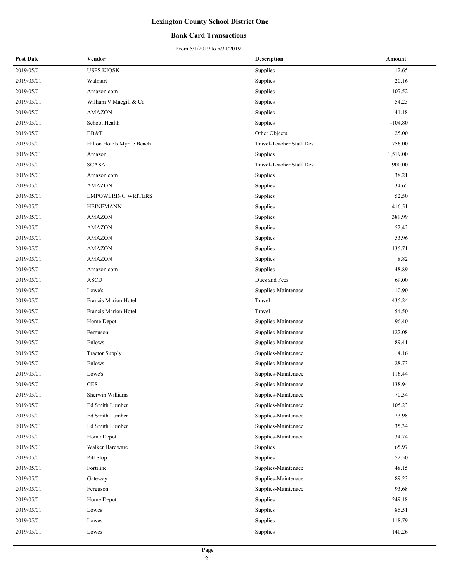#### **Bank Card Transactions**

| <b>Post Date</b> | Vendor                     | <b>Description</b>       | Amount    |
|------------------|----------------------------|--------------------------|-----------|
| 2019/05/01       | <b>USPS KIOSK</b>          | Supplies                 | 12.65     |
| 2019/05/01       | Walmart                    | Supplies                 | 20.16     |
| 2019/05/01       | Amazon.com                 | Supplies                 | 107.52    |
| 2019/05/01       | William V Macgill & Co     | Supplies                 | 54.23     |
| 2019/05/01       | <b>AMAZON</b>              | Supplies                 | 41.18     |
| 2019/05/01       | School Health              | Supplies                 | $-104.80$ |
| 2019/05/01       | BB&T                       | Other Objects            | 25.00     |
| 2019/05/01       | Hilton Hotels Myrtle Beach | Travel-Teacher Staff Dev | 756.00    |
| 2019/05/01       | Amazon                     | Supplies                 | 1,519.00  |
| 2019/05/01       | <b>SCASA</b>               | Travel-Teacher Staff Dev | 900.00    |
| 2019/05/01       | Amazon.com                 | Supplies                 | 38.21     |
| 2019/05/01       | <b>AMAZON</b>              | Supplies                 | 34.65     |
| 2019/05/01       | <b>EMPOWERING WRITERS</b>  | Supplies                 | 52.50     |
| 2019/05/01       | <b>HEINEMANN</b>           | Supplies                 | 416.51    |
| 2019/05/01       | <b>AMAZON</b>              | Supplies                 | 389.99    |
| 2019/05/01       | <b>AMAZON</b>              | Supplies                 | 52.42     |
| 2019/05/01       | <b>AMAZON</b>              | Supplies                 | 53.96     |
| 2019/05/01       | <b>AMAZON</b>              | Supplies                 | 135.71    |
| 2019/05/01       | <b>AMAZON</b>              | Supplies                 | 8.82      |
| 2019/05/01       | Amazon.com                 | Supplies                 | 48.89     |
| 2019/05/01       | <b>ASCD</b>                | Dues and Fees            | 69.00     |
| 2019/05/01       | Lowe's                     | Supplies-Maintenace      | 10.90     |
| 2019/05/01       | Francis Marion Hotel       | Travel                   | 435.24    |
| 2019/05/01       | Francis Marion Hotel       | Travel                   | 54.50     |
| 2019/05/01       | Home Depot                 | Supplies-Maintenace      | 96.40     |
| 2019/05/01       | Ferguson                   | Supplies-Maintenace      | 122.08    |
| 2019/05/01       | Enlows                     | Supplies-Maintenace      | 89.41     |
| 2019/05/01       | <b>Tractor Supply</b>      | Supplies-Maintenace      | 4.16      |
| 2019/05/01       | Enlows                     | Supplies-Maintenace      | 28.73     |
| 2019/05/01       | Lowe's                     | Supplies-Maintenace      | 116.44    |
| 2019/05/01       | $\rm{CES}$                 | Supplies-Maintenace      | 138.94    |
| 2019/05/01       | Sherwin Williams           | Supplies-Maintenace      | 70.34     |
| 2019/05/01       | Ed Smith Lumber            | Supplies-Maintenace      | 105.23    |
| 2019/05/01       | Ed Smith Lumber            | Supplies-Maintenace      | 23.98     |
| 2019/05/01       | Ed Smith Lumber            | Supplies-Maintenace      | 35.34     |
| 2019/05/01       | Home Depot                 | Supplies-Maintenace      | 34.74     |
| 2019/05/01       | Walker Hardware            | Supplies                 | 65.97     |
| 2019/05/01       | Pitt Stop                  | Supplies                 | 52.50     |
| 2019/05/01       | Fortiline                  | Supplies-Maintenace      | 48.15     |
| 2019/05/01       | Gateway                    | Supplies-Maintenace      | 89.23     |
| 2019/05/01       | Ferguson                   | Supplies-Maintenace      | 93.68     |
| 2019/05/01       | Home Depot                 | Supplies                 | 249.18    |
| 2019/05/01       | Lowes                      | Supplies                 | 86.51     |
| 2019/05/01       | Lowes                      | Supplies                 | 118.79    |
| 2019/05/01       | Lowes                      | Supplies                 | 140.26    |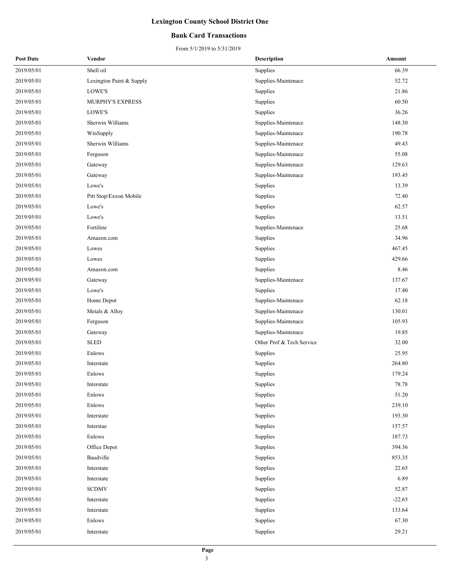#### **Bank Card Transactions**

| <b>Post Date</b> | Vendor                   | Description               | Amount   |
|------------------|--------------------------|---------------------------|----------|
| 2019/05/01       | Shell oil                | Supplies                  | 66.39    |
| 2019/05/01       | Lexington Paint & Supply | Supplies-Maintenace       | 52.72    |
| 2019/05/01       | LOWE'S                   | Supplies                  | 21.86    |
| 2019/05/01       | <b>MURPHY'S EXPRESS</b>  | Supplies                  | 60.50    |
| 2019/05/01       | LOWE'S                   | Supplies                  | 36.26    |
| 2019/05/01       | Sherwin Williams         | Supplies-Maintenace       | 148.30   |
| 2019/05/01       | WinSupply                | Supplies-Maintenace       | 190.78   |
| 2019/05/01       | Sherwin Williams         | Supplies-Maintenace       | 49.43    |
| 2019/05/01       | Ferguson                 | Supplies-Maintenace       | 55.08    |
| 2019/05/01       | Gateway                  | Supplies-Maintenace       | 129.63   |
| 2019/05/01       | Gateway                  | Supplies-Maintenace       | 193.45   |
| 2019/05/01       | Lowe's                   | Supplies                  | 13.39    |
| 2019/05/01       | Pitt Stop/Exxon Mobile   | Supplies                  | 72.40    |
| 2019/05/01       | Lowe's                   | Supplies                  | 62.57    |
| 2019/05/01       | Lowe's                   | Supplies                  | 13.51    |
| 2019/05/01       | Fortiline                | Supplies-Maintenace       | 25.68    |
| 2019/05/01       | Amazon.com               | Supplies                  | 34.96    |
| 2019/05/01       | Lowes                    | Supplies                  | 467.45   |
| 2019/05/01       | Lowes                    | Supplies                  | 429.66   |
| 2019/05/01       | Amazon.com               | Supplies                  | 8.46     |
| 2019/05/01       | Gateway                  | Supplies-Maintenace       | 137.67   |
| 2019/05/01       | Lowe's                   | Supplies                  | 17.40    |
| 2019/05/01       | Home Depot               | Supplies-Maintenace       | 62.18    |
| 2019/05/01       | Metals & Alloy           | Supplies-Maintenace       | 130.01   |
| 2019/05/01       | Ferguson                 | Supplies-Maintenace       | 105.93   |
| 2019/05/01       | Gateway                  | Supplies-Maintenace       | 19.85    |
| 2019/05/01       | <b>SLED</b>              | Other Prof & Tech Service | 32.00    |
| 2019/05/01       | Enlows                   | Supplies                  | 25.95    |
| 2019/05/01       | Interstate               | Supplies                  | 264.80   |
| 2019/05/01       | Enlows                   | Supplies                  | 179.24   |
| 2019/05/01       | Interstate               | Supplies                  | 78.78    |
| 2019/05/01       | Enlows                   | Supplies                  | 51.20    |
| 2019/05/01       | Enlows                   | Supplies                  | 239.10   |
| 2019/05/01       | Interstate               | Supplies                  | 193.30   |
| 2019/05/01       | Interstae                | Supplies                  | 157.57   |
| 2019/05/01       | Enlows                   | Supplies                  | 187.73   |
| 2019/05/01       | Office Depot             | Supplies                  | 394.36   |
| 2019/05/01       | Baudville                | Supplies                  | 853.35   |
| 2019/05/01       | Interstate               | Supplies                  | 22.65    |
| 2019/05/01       | Interstate               | Supplies                  | 6.89     |
| 2019/05/01       | <b>SCDMV</b>             | Supplies                  | 52.87    |
| 2019/05/01       | Interstate               | Supplies                  | $-22.65$ |
| 2019/05/01       | Interstate               | Supplies                  | 133.64   |
| 2019/05/01       | Enlows                   | Supplies                  | 67.30    |
| 2019/05/01       | Interstate               | Supplies                  | 29.21    |
|                  |                          |                           |          |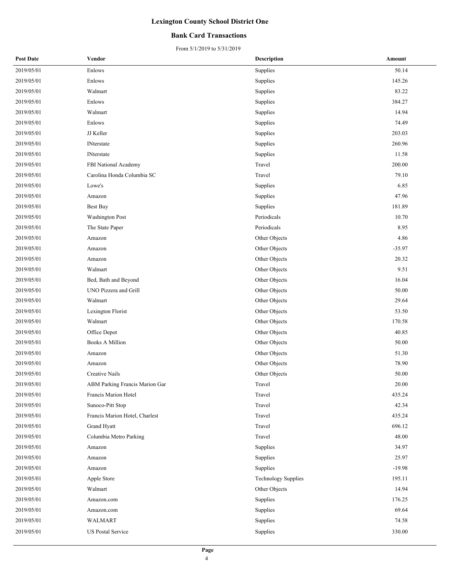#### **Bank Card Transactions**

| <b>Post Date</b> | Vendor                         | <b>Description</b>         | Amount   |
|------------------|--------------------------------|----------------------------|----------|
| 2019/05/01       | Enlows                         | Supplies                   | 50.14    |
| 2019/05/01       | Enlows                         | Supplies                   | 145.26   |
| 2019/05/01       | Walmart                        | Supplies                   | 83.22    |
| 2019/05/01       | Enlows                         | Supplies                   | 384.27   |
| 2019/05/01       | Walmart                        | Supplies                   | 14.94    |
| 2019/05/01       | Enlows                         | Supplies                   | 74.49    |
| 2019/05/01       | JJ Keller                      | Supplies                   | 203.03   |
| 2019/05/01       | <b>INterstate</b>              | Supplies                   | 260.96   |
| 2019/05/01       | <b>INterstate</b>              | Supplies                   | 11.58    |
| 2019/05/01       | FBI National Academy           | Travel                     | 200.00   |
| 2019/05/01       | Carolina Honda Columbia SC     | Travel                     | 79.10    |
| 2019/05/01       | Lowe's                         | Supplies                   | 6.85     |
| 2019/05/01       | Amazon                         | Supplies                   | 47.96    |
| 2019/05/01       | <b>Best Buy</b>                | Supplies                   | 181.89   |
| 2019/05/01       | <b>Washington Post</b>         | Periodicals                | 10.70    |
| 2019/05/01       | The State Paper                | Periodicals                | 8.95     |
| 2019/05/01       | Amazon                         | Other Objects              | 4.86     |
| 2019/05/01       | Amazon                         | Other Objects              | $-35.97$ |
| 2019/05/01       | Amazon                         | Other Objects              | 20.32    |
| 2019/05/01       | Walmart                        | Other Objects              | 9.51     |
| 2019/05/01       | Bed, Bath and Beyond           | Other Objects              | 16.04    |
| 2019/05/01       | UNO Pizzera and Grill          | Other Objects              | 50.00    |
| 2019/05/01       | Walmart                        | Other Objects              | 29.64    |
| 2019/05/01       | Lexington Florist              | Other Objects              | 53.50    |
| 2019/05/01       | Walmart                        | Other Objects              | 170.58   |
| 2019/05/01       | Office Depot                   | Other Objects              | 40.85    |
| 2019/05/01       | <b>Books A Million</b>         | Other Objects              | 50.00    |
| 2019/05/01       | Amazon                         | Other Objects              | 51.30    |
| 2019/05/01       | Amazon                         | Other Objects              | 78.90    |
| 2019/05/01       | <b>Creative Nails</b>          | Other Objects              | 50.00    |
| 2019/05/01       | ABM Parking Francis Marion Gar | Travel                     | 20.00    |
| 2019/05/01       | Francis Marion Hotel           | Travel                     | 435.24   |
| 2019/05/01       | Sunoco-Pitt Stop               | Travel                     | 42.34    |
| 2019/05/01       | Francis Marion Hotel, Charlest | Travel                     | 435.24   |
| 2019/05/01       | Grand Hyatt                    | Travel                     | 696.12   |
| 2019/05/01       | Columbia Metro Parking         | Travel                     | 48.00    |
| 2019/05/01       | Amazon                         | Supplies                   | 34.97    |
| 2019/05/01       | Amazon                         | Supplies                   | 25.97    |
| 2019/05/01       | Amazon                         | Supplies                   | $-19.98$ |
| 2019/05/01       | Apple Store                    | <b>Technology Supplies</b> | 195.11   |
| 2019/05/01       | Walmart                        | Other Objects              | 14.94    |
| 2019/05/01       | Amazon.com                     | Supplies                   | 176.25   |
| 2019/05/01       | Amazon.com                     | Supplies                   | 69.64    |
| 2019/05/01       | WALMART                        | Supplies                   | 74.58    |
| 2019/05/01       | US Postal Service              | Supplies                   | 330.00   |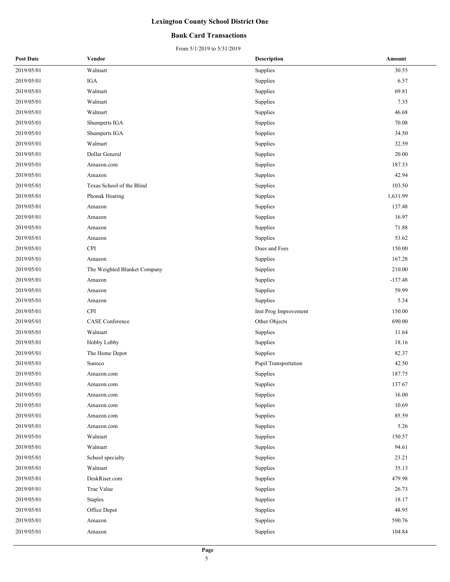#### **Bank Card Transactions**

| <b>Post Date</b> | Vendor                       | <b>Description</b>    | Amount    |
|------------------|------------------------------|-----------------------|-----------|
| 2019/05/01       | Walmart                      | Supplies              | 30.55     |
| 2019/05/01       | <b>IGA</b>                   | Supplies              | 6.57      |
| 2019/05/01       | Walmart                      | Supplies              | 69.81     |
| 2019/05/01       | Walmart                      | Supplies              | 7.35      |
| 2019/05/01       | Walmart                      | Supplies              | 46.68     |
| 2019/05/01       | Shumperts IGA                | Supplies              | 70.08     |
| 2019/05/01       | Shumperts IGA                | Supplies              | 34.50     |
| 2019/05/01       | $\operatorname{Walmart}$     | Supplies              | 32.59     |
| 2019/05/01       | Dollar General               | Supplies              | 20.00     |
| 2019/05/01       | Amazon.com                   | Supplies              | 187.33    |
| 2019/05/01       | Amazon                       | Supplies              | 42.94     |
| 2019/05/01       | Texas School of the Blind    | Supplies              | 103.50    |
| 2019/05/01       | Phonak Hearing               | Supplies              | 1,631.99  |
| 2019/05/01       | Amazon                       | Supplies              | 137.48    |
| 2019/05/01       | Amazon                       | Supplies              | 16.97     |
| 2019/05/01       | Amazon                       | Supplies              | 71.88     |
| 2019/05/01       | Amazon                       | Supplies              | 53.62     |
| 2019/05/01       | <b>CPI</b>                   | Dues and Fees         | 150.00    |
| 2019/05/01       | Amazon                       | Supplies              | 167.28    |
| 2019/05/01       | The Weighted Blanket Company | Supplies              | 210.00    |
| 2019/05/01       | Amazon                       | Supplies              | $-137.48$ |
| 2019/05/01       | Amazon                       | Supplies              | 59.99     |
| 2019/05/01       | Amazon                       | Supplies              | 5.34      |
| 2019/05/01       | <b>CPI</b>                   | Inst Prog Improvement | 150.00    |
| 2019/05/01       | <b>CASE</b> Conference       | Other Objects         | 690.00    |
| 2019/05/01       | Walmart                      | Supplies              | 11.64     |
| 2019/05/01       | Hobby Lobby                  | Supplies              | 18.16     |
| 2019/05/01       | The Home Depot               | Supplies              | 82.37     |
| 2019/05/01       | Sunoco                       | Pupil Transportation  | 42.50     |
| 2019/05/01       | Amazon.com                   | Supplies              | 187.75    |
| 2019/05/01       | Amazon.com                   | Supplies              | 137.67    |
| 2019/05/01       | Amazon.com                   | Supplies              | 16.00     |
| 2019/05/01       | Amazon.com                   | Supplies              | 10.69     |
| 2019/05/01       | Amazon.com                   | Supplies              | 85.59     |
| 2019/05/01       | Amazon.com                   | Supplies              | 5.26      |
| 2019/05/01       | Walmart                      | Supplies              | 150.57    |
| 2019/05/01       | Walmart                      | Supplies              | 94.61     |
| 2019/05/01       | School specialty             | Supplies              | 23.21     |
| 2019/05/01       | Walmart                      | Supplies              | 35.13     |
| 2019/05/01       | DeskRiser.com                | Supplies              | 479.98    |
| 2019/05/01       | True Value                   | Supplies              | 26.73     |
| 2019/05/01       | Staples                      | Supplies              | 18.17     |
| 2019/05/01       | Office Depot                 | Supplies              | 48.95     |
| 2019/05/01       | Amazon                       | Supplies              | 590.76    |
| 2019/05/01       | Amazon                       | Supplies              | 104.84    |
|                  |                              |                       |           |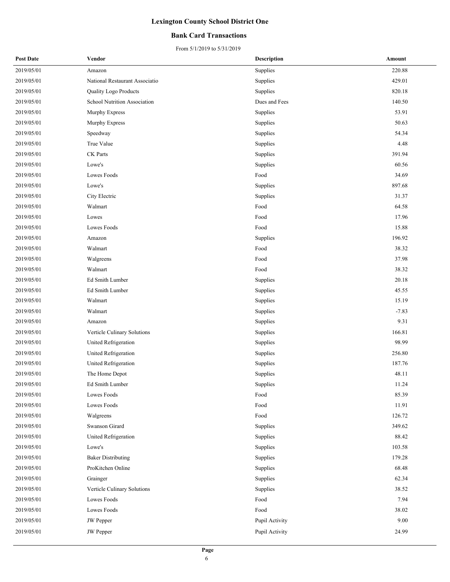#### **Bank Card Transactions**

| <b>Post Date</b> | Vendor                         | <b>Description</b> | Amount  |
|------------------|--------------------------------|--------------------|---------|
| 2019/05/01       | Amazon                         | Supplies           | 220.88  |
| 2019/05/01       | National Restaurant Associatio | Supplies           | 429.01  |
| 2019/05/01       | Quality Logo Products          | Supplies           | 820.18  |
| 2019/05/01       | School Nutrition Association   | Dues and Fees      | 140.50  |
| 2019/05/01       | Murphy Express                 | Supplies           | 53.91   |
| 2019/05/01       | Murphy Express                 | Supplies           | 50.63   |
| 2019/05/01       | Speedway                       | Supplies           | 54.34   |
| 2019/05/01       | True Value                     | Supplies           | 4.48    |
| 2019/05/01       | CK Parts                       | Supplies           | 391.94  |
| 2019/05/01       | Lowe's                         | Supplies           | 60.56   |
| 2019/05/01       | Lowes Foods                    | Food               | 34.69   |
| 2019/05/01       | Lowe's                         | Supplies           | 897.68  |
| 2019/05/01       | City Electric                  | Supplies           | 31.37   |
| 2019/05/01       | Walmart                        | Food               | 64.58   |
| 2019/05/01       | Lowes                          | Food               | 17.96   |
| 2019/05/01       | Lowes Foods                    | Food               | 15.88   |
| 2019/05/01       | Amazon                         | Supplies           | 196.92  |
| 2019/05/01       | Walmart                        | Food               | 38.32   |
| 2019/05/01       | Walgreens                      | Food               | 37.98   |
| 2019/05/01       | Walmart                        | Food               | 38.32   |
| 2019/05/01       | Ed Smith Lumber                | Supplies           | 20.18   |
| 2019/05/01       | Ed Smith Lumber                | Supplies           | 45.55   |
| 2019/05/01       | Walmart                        | Supplies           | 15.19   |
| 2019/05/01       | Walmart                        | Supplies           | $-7.83$ |
| 2019/05/01       | Amazon                         | Supplies           | 9.31    |
| 2019/05/01       | Verticle Culinary Solutions    | Supplies           | 166.81  |
| 2019/05/01       | United Refrigeration           | Supplies           | 98.99   |
| 2019/05/01       | United Refrigeration           | Supplies           | 256.80  |
| 2019/05/01       | United Refrigeration           | Supplies           | 187.76  |
| 2019/05/01       | The Home Depot                 | Supplies           | 48.11   |
| 2019/05/01       | Ed Smith Lumber                | Supplies           | 11.24   |
| 2019/05/01       | Lowes Foods                    | Food               | 85.39   |
| 2019/05/01       | Lowes Foods                    | Food               | 11.91   |
| 2019/05/01       | Walgreens                      | Food               | 126.72  |
| 2019/05/01       | Swanson Girard                 | Supplies           | 349.62  |
| 2019/05/01       | United Refrigeration           | Supplies           | 88.42   |
| 2019/05/01       | Lowe's                         | Supplies           | 103.58  |
| 2019/05/01       | <b>Baker Distributing</b>      | Supplies           | 179.28  |
| 2019/05/01       | ProKitchen Online              | Supplies           | 68.48   |
| 2019/05/01       | Grainger                       | Supplies           | 62.34   |
| 2019/05/01       | Verticle Culinary Solutions    | Supplies           | 38.52   |
| 2019/05/01       | Lowes Foods                    | Food               | 7.94    |
| 2019/05/01       | Lowes Foods                    | Food               | 38.02   |
| 2019/05/01       | <b>JW</b> Pepper               | Pupil Activity     | 9.00    |
| 2019/05/01       | <b>JW</b> Pepper               | Pupil Activity     | 24.99   |
|                  |                                |                    |         |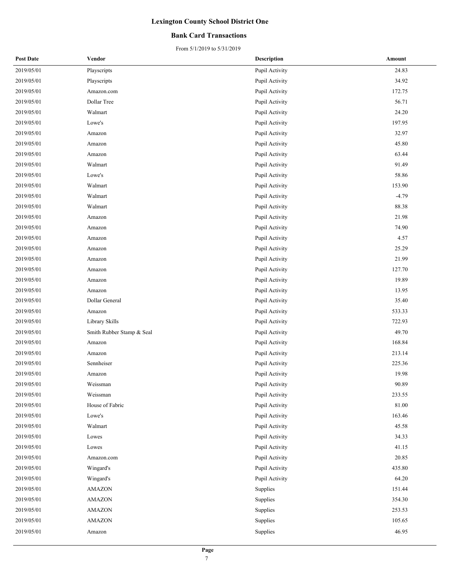#### **Bank Card Transactions**

| <b>Post Date</b> | Vendor                    | <b>Description</b> | Amount  |
|------------------|---------------------------|--------------------|---------|
| 2019/05/01       | Playscripts               | Pupil Activity     | 24.83   |
| 2019/05/01       | Playscripts               | Pupil Activity     | 34.92   |
| 2019/05/01       | Amazon.com                | Pupil Activity     | 172.75  |
| 2019/05/01       | Dollar Tree               | Pupil Activity     | 56.71   |
| 2019/05/01       | Walmart                   | Pupil Activity     | 24.20   |
| 2019/05/01       | Lowe's                    | Pupil Activity     | 197.95  |
| 2019/05/01       | Amazon                    | Pupil Activity     | 32.97   |
| 2019/05/01       | Amazon                    | Pupil Activity     | 45.80   |
| 2019/05/01       | Amazon                    | Pupil Activity     | 63.44   |
| 2019/05/01       | Walmart                   | Pupil Activity     | 91.49   |
| 2019/05/01       | Lowe's                    | Pupil Activity     | 58.86   |
| 2019/05/01       | Walmart                   | Pupil Activity     | 153.90  |
| 2019/05/01       | Walmart                   | Pupil Activity     | $-4.79$ |
| 2019/05/01       | Walmart                   | Pupil Activity     | 88.38   |
| 2019/05/01       | Amazon                    | Pupil Activity     | 21.98   |
| 2019/05/01       | Amazon                    | Pupil Activity     | 74.90   |
| 2019/05/01       | Amazon                    | Pupil Activity     | 4.57    |
| 2019/05/01       | Amazon                    | Pupil Activity     | 25.29   |
| 2019/05/01       | Amazon                    | Pupil Activity     | 21.99   |
| 2019/05/01       | Amazon                    | Pupil Activity     | 127.70  |
| 2019/05/01       | Amazon                    | Pupil Activity     | 19.89   |
| 2019/05/01       | Amazon                    | Pupil Activity     | 13.95   |
| 2019/05/01       | Dollar General            | Pupil Activity     | 35.40   |
| 2019/05/01       | Amazon                    | Pupil Activity     | 533.33  |
| 2019/05/01       | Library Skills            | Pupil Activity     | 722.93  |
| 2019/05/01       | Smith Rubber Stamp & Seal | Pupil Activity     | 49.70   |
| 2019/05/01       | Amazon                    | Pupil Activity     | 168.84  |
| 2019/05/01       | Amazon                    | Pupil Activity     | 213.14  |
| 2019/05/01       | Sennheiser                | Pupil Activity     | 225.36  |
| 2019/05/01       | Amazon                    | Pupil Activity     | 19.98   |
| 2019/05/01       | Weissman                  | Pupil Activity     | 90.89   |
| 2019/05/01       | Weissman                  | Pupil Activity     | 233.55  |
| 2019/05/01       | House of Fabric           | Pupil Activity     | 81.00   |
| 2019/05/01       | Lowe's                    | Pupil Activity     | 163.46  |
| 2019/05/01       | Walmart                   | Pupil Activity     | 45.58   |
| 2019/05/01       | Lowes                     | Pupil Activity     | 34.33   |
| 2019/05/01       | Lowes                     | Pupil Activity     | 41.15   |
| 2019/05/01       | Amazon.com                | Pupil Activity     | 20.85   |
| 2019/05/01       | Wingard's                 | Pupil Activity     | 435.80  |
| 2019/05/01       | Wingard's                 | Pupil Activity     | 64.20   |
| 2019/05/01       | <b>AMAZON</b>             | Supplies           | 151.44  |
| 2019/05/01       | <b>AMAZON</b>             | Supplies           | 354.30  |
| 2019/05/01       | <b>AMAZON</b>             | Supplies           | 253.53  |
| 2019/05/01       | <b>AMAZON</b>             | Supplies           | 105.65  |
| 2019/05/01       | Amazon                    | Supplies           | 46.95   |
|                  |                           |                    |         |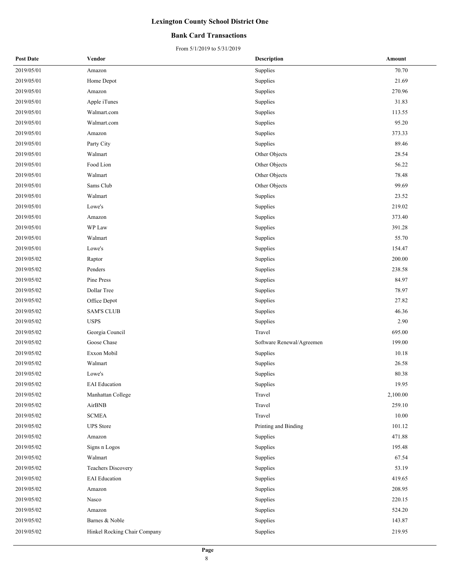#### **Bank Card Transactions**

| <b>Post Date</b> | Vendor                       | <b>Description</b>        | Amount   |
|------------------|------------------------------|---------------------------|----------|
| 2019/05/01       | Amazon                       | Supplies                  | 70.70    |
| 2019/05/01       | Home Depot                   | Supplies                  | 21.69    |
| 2019/05/01       | Amazon                       | Supplies                  | 270.96   |
| 2019/05/01       | Apple iTunes                 | Supplies                  | 31.83    |
| 2019/05/01       | Walmart.com                  | Supplies                  | 113.55   |
| 2019/05/01       | Walmart.com                  | Supplies                  | 95.20    |
| 2019/05/01       | Amazon                       | Supplies                  | 373.33   |
| 2019/05/01       | Party City                   | Supplies                  | 89.46    |
| 2019/05/01       | Walmart                      | Other Objects             | 28.54    |
| 2019/05/01       | Food Lion                    | Other Objects             | 56.22    |
| 2019/05/01       | Walmart                      | Other Objects             | 78.48    |
| 2019/05/01       | Sams Club                    | Other Objects             | 99.69    |
| 2019/05/01       | Walmart                      | Supplies                  | 23.52    |
| 2019/05/01       | Lowe's                       | Supplies                  | 219.02   |
| 2019/05/01       | Amazon                       | Supplies                  | 373.40   |
| 2019/05/01       | WP Law                       | Supplies                  | 391.28   |
| 2019/05/01       | Walmart                      | Supplies                  | 55.70    |
| 2019/05/01       | Lowe's                       | Supplies                  | 154.47   |
| 2019/05/02       | Raptor                       | Supplies                  | 200.00   |
| 2019/05/02       | Penders                      | Supplies                  | 238.58   |
| 2019/05/02       | Pine Press                   | Supplies                  | 84.97    |
| 2019/05/02       | Dollar Tree                  | Supplies                  | 78.97    |
| 2019/05/02       | Office Depot                 | Supplies                  | 27.82    |
| 2019/05/02       | <b>SAM'S CLUB</b>            | Supplies                  | 46.36    |
| 2019/05/02       | <b>USPS</b>                  | Supplies                  | 2.90     |
| 2019/05/02       | Georgia Council              | Travel                    | 695.00   |
| 2019/05/02       | Goose Chase                  | Software Renewal/Agreemen | 199.00   |
| 2019/05/02       | Exxon Mobil                  | Supplies                  | 10.18    |
| 2019/05/02       | Walmart                      | Supplies                  | 26.58    |
| 2019/05/02       | Lowe's                       | Supplies                  | 80.38    |
| 2019/05/02       | <b>EAI</b> Education         | Supplies                  | 19.95    |
| 2019/05/02       | Manhattan College            | Travel                    | 2,100.00 |
| 2019/05/02       | AirBNB                       | Travel                    | 259.10   |
| 2019/05/02       | <b>SCMEA</b>                 | Travel                    | 10.00    |
| 2019/05/02       | <b>UPS</b> Store             | Printing and Binding      | 101.12   |
| 2019/05/02       | Amazon                       | Supplies                  | 471.88   |
| 2019/05/02       | Signs n Logos                | Supplies                  | 195.48   |
| 2019/05/02       | Walmart                      | Supplies                  | 67.54    |
| 2019/05/02       | <b>Teachers Discovery</b>    | Supplies                  | 53.19    |
| 2019/05/02       | <b>EAI</b> Education         | Supplies                  | 419.65   |
| 2019/05/02       | Amazon                       | Supplies                  | 208.95   |
| 2019/05/02       | Nasco                        | Supplies                  | 220.15   |
| 2019/05/02       | Amazon                       | Supplies                  | 524.20   |
| 2019/05/02       | Barnes & Noble               | Supplies                  | 143.87   |
| 2019/05/02       | Hinkel Rocking Chair Company | Supplies                  | 219.95   |
|                  |                              |                           |          |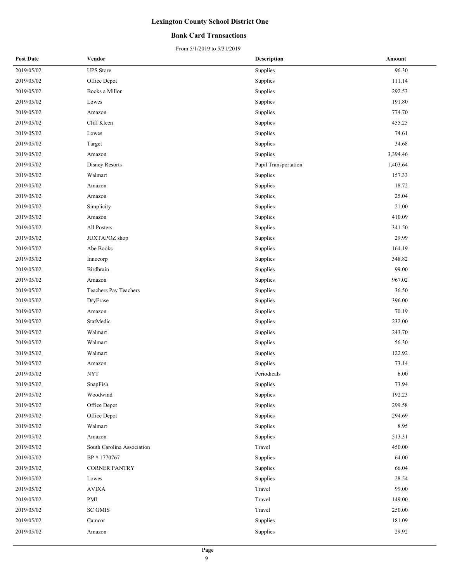#### **Bank Card Transactions**

| <b>Post Date</b> | Vendor                     | Description          | Amount   |
|------------------|----------------------------|----------------------|----------|
| 2019/05/02       | <b>UPS</b> Store           | Supplies             | 96.30    |
| 2019/05/02       | Office Depot               | Supplies             | 111.14   |
| 2019/05/02       | Books a Millon             | Supplies             | 292.53   |
| 2019/05/02       | Lowes                      | Supplies             | 191.80   |
| 2019/05/02       | Amazon                     | Supplies             | 774.70   |
| 2019/05/02       | Cliff Kleen                | Supplies             | 455.25   |
| 2019/05/02       | Lowes                      | Supplies             | 74.61    |
| 2019/05/02       | Target                     | Supplies             | 34.68    |
| 2019/05/02       | Amazon                     | Supplies             | 3,394.46 |
| 2019/05/02       | Disney Resorts             | Pupil Transportation | 1,403.64 |
| 2019/05/02       | Walmart                    | Supplies             | 157.33   |
| 2019/05/02       | Amazon                     | Supplies             | 18.72    |
| 2019/05/02       | Amazon                     | Supplies             | 25.04    |
| 2019/05/02       | Simplicity                 | Supplies             | 21.00    |
| 2019/05/02       | Amazon                     | Supplies             | 410.09   |
| 2019/05/02       | All Posters                | Supplies             | 341.50   |
| 2019/05/02       | JUXTAPOZ shop              | Supplies             | 29.99    |
| 2019/05/02       | Abe Books                  | Supplies             | 164.19   |
| 2019/05/02       | Innocorp                   | Supplies             | 348.82   |
| 2019/05/02       | Birdbrain                  | Supplies             | 99.00    |
| 2019/05/02       | Amazon                     | Supplies             | 967.02   |
| 2019/05/02       | Teachers Pay Teachers      | Supplies             | 36.50    |
| 2019/05/02       | DryErase                   | Supplies             | 396.00   |
| 2019/05/02       | Amazon                     | Supplies             | 70.19    |
| 2019/05/02       | StatMedic                  | Supplies             | 232.00   |
| 2019/05/02       | Walmart                    | Supplies             | 243.70   |
| 2019/05/02       | Walmart                    | Supplies             | 56.30    |
| 2019/05/02       | Walmart                    | Supplies             | 122.92   |
| 2019/05/02       | Amazon                     | Supplies             | 73.14    |
| 2019/05/02       | <b>NYT</b>                 | Periodicals          | 6.00     |
| 2019/05/02       | SnapFish                   | Supplies             | 73.94    |
| 2019/05/02       | Woodwind                   | Supplies             | 192.23   |
| 2019/05/02       | Office Depot               | Supplies             | 299.58   |
| 2019/05/02       | Office Depot               | Supplies             | 294.69   |
| 2019/05/02       | Walmart                    | Supplies             | 8.95     |
| 2019/05/02       | Amazon                     | Supplies             | 513.31   |
| 2019/05/02       | South Carolina Association | Travel               | 450.00   |
| 2019/05/02       | BP #1770767                | Supplies             | 64.00    |
| 2019/05/02       | <b>CORNER PANTRY</b>       | Supplies             | 66.04    |
| 2019/05/02       | Lowes                      | Supplies             | 28.54    |
| 2019/05/02       | <b>AVIXA</b>               | Travel               | 99.00    |
| 2019/05/02       | PMI                        | Travel               | 149.00   |
| 2019/05/02       | <b>SC GMIS</b>             | Travel               | 250.00   |
| 2019/05/02       | Camcor                     | Supplies             | 181.09   |
| 2019/05/02       | Amazon                     | Supplies             | 29.92    |
|                  |                            |                      |          |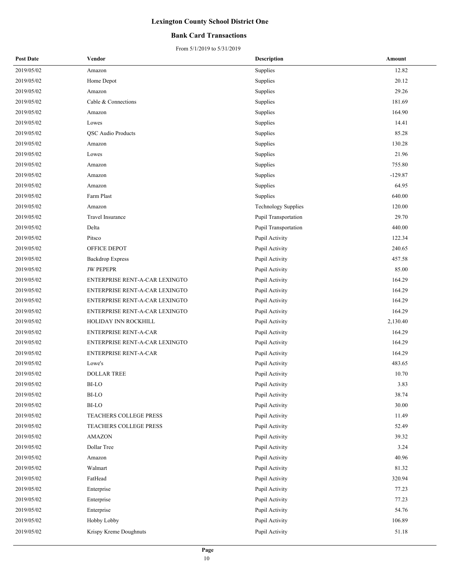#### **Bank Card Transactions**

| <b>Post Date</b> | Vendor                         | <b>Description</b>         | Amount    |
|------------------|--------------------------------|----------------------------|-----------|
| 2019/05/02       | Amazon                         | Supplies                   | 12.82     |
| 2019/05/02       | Home Depot                     | Supplies                   | 20.12     |
| 2019/05/02       | Amazon                         | Supplies                   | 29.26     |
| 2019/05/02       | Cable & Connections            | Supplies                   | 181.69    |
| 2019/05/02       | Amazon                         | Supplies                   | 164.90    |
| 2019/05/02       | Lowes                          | Supplies                   | 14.41     |
| 2019/05/02       | <b>QSC</b> Audio Products      | Supplies                   | 85.28     |
| 2019/05/02       | Amazon                         | Supplies                   | 130.28    |
| 2019/05/02       | Lowes                          | Supplies                   | 21.96     |
| 2019/05/02       | Amazon                         | Supplies                   | 755.80    |
| 2019/05/02       | Amazon                         | Supplies                   | $-129.87$ |
| 2019/05/02       | Amazon                         | Supplies                   | 64.95     |
| 2019/05/02       | Farm Plast                     | Supplies                   | 640.00    |
| 2019/05/02       | Amazon                         | <b>Technology Supplies</b> | 120.00    |
| 2019/05/02       | Travel Insurance               | Pupil Transportation       | 29.70     |
| 2019/05/02       | Delta                          | Pupil Transportation       | 440.00    |
| 2019/05/02       | Pitsco                         | Pupil Activity             | 122.34    |
| 2019/05/02       | OFFICE DEPOT                   | Pupil Activity             | 240.65    |
| 2019/05/02       | <b>Backdrop Express</b>        | Pupil Activity             | 457.58    |
| 2019/05/02       | <b>JW PEPEPR</b>               | Pupil Activity             | 85.00     |
| 2019/05/02       | ENTERPRISE RENT-A-CAR LEXINGTO | Pupil Activity             | 164.29    |
| 2019/05/02       | ENTERPRISE RENT-A-CAR LEXINGTO | Pupil Activity             | 164.29    |
| 2019/05/02       | ENTERPRISE RENT-A-CAR LEXINGTO | Pupil Activity             | 164.29    |
| 2019/05/02       | ENTERPRISE RENT-A-CAR LEXINGTO | Pupil Activity             | 164.29    |
| 2019/05/02       | HOLIDAY INN ROCKHILL           | Pupil Activity             | 2,130.40  |
| 2019/05/02       | ENTERPRISE RENT-A-CAR          | Pupil Activity             | 164.29    |
| 2019/05/02       | ENTERPRISE RENT-A-CAR LEXINGTO | Pupil Activity             | 164.29    |
| 2019/05/02       | <b>ENTERPRISE RENT-A-CAR</b>   | Pupil Activity             | 164.29    |
| 2019/05/02       | Lowe's                         | Pupil Activity             | 483.65    |
| 2019/05/02       | <b>DOLLAR TREE</b>             | Pupil Activity             | 10.70     |
| 2019/05/02       | BI-LO                          | Pupil Activity             | 3.83      |
| 2019/05/02       | <b>BI-LO</b>                   | Pupil Activity             | 38.74     |
| 2019/05/02       | BI-LO                          | Pupil Activity             | 30.00     |
| 2019/05/02       | TEACHERS COLLEGE PRESS         | Pupil Activity             | 11.49     |
| 2019/05/02       | TEACHERS COLLEGE PRESS         | Pupil Activity             | 52.49     |
| 2019/05/02       | <b>AMAZON</b>                  | Pupil Activity             | 39.32     |
| 2019/05/02       | Dollar Tree                    | Pupil Activity             | 3.24      |
| 2019/05/02       | Amazon                         | Pupil Activity             | 40.96     |
| 2019/05/02       | Walmart                        | Pupil Activity             | 81.32     |
| 2019/05/02       | FatHead                        | Pupil Activity             | 320.94    |
| 2019/05/02       | Enterprise                     | Pupil Activity             | 77.23     |
| 2019/05/02       | Enterprise                     | Pupil Activity             | 77.23     |
| 2019/05/02       | Enterprise                     | Pupil Activity             | 54.76     |
| 2019/05/02       | Hobby Lobby                    | Pupil Activity             | 106.89    |
| 2019/05/02       | Krispy Kreme Doughnuts         | Pupil Activity             | 51.18     |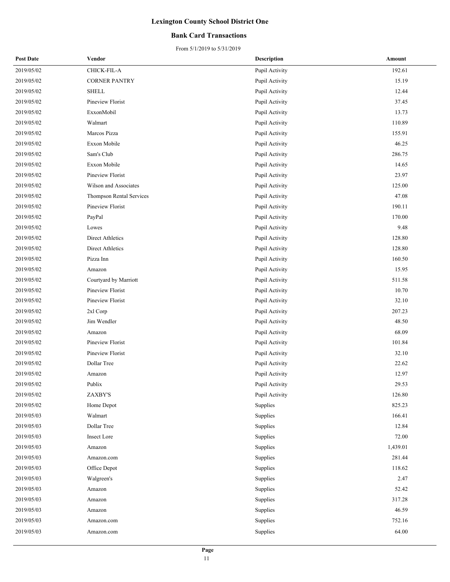#### **Bank Card Transactions**

| <b>Post Date</b> | Vendor                   | <b>Description</b> | Amount   |
|------------------|--------------------------|--------------------|----------|
| 2019/05/02       | CHICK-FIL-A              | Pupil Activity     | 192.61   |
| 2019/05/02       | <b>CORNER PANTRY</b>     | Pupil Activity     | 15.19    |
| 2019/05/02       | <b>SHELL</b>             | Pupil Activity     | 12.44    |
| 2019/05/02       | Pineview Florist         | Pupil Activity     | 37.45    |
| 2019/05/02       | ExxonMobil               | Pupil Activity     | 13.73    |
| 2019/05/02       | Walmart                  | Pupil Activity     | 110.89   |
| 2019/05/02       | Marcos Pizza             | Pupil Activity     | 155.91   |
| 2019/05/02       | Exxon Mobile             | Pupil Activity     | 46.25    |
| 2019/05/02       | Sam's Club               | Pupil Activity     | 286.75   |
| 2019/05/02       | Exxon Mobile             | Pupil Activity     | 14.65    |
| 2019/05/02       | Pineview Florist         | Pupil Activity     | 23.97    |
| 2019/05/02       | Wilson and Associates    | Pupil Activity     | 125.00   |
| 2019/05/02       | Thompson Rental Services | Pupil Activity     | 47.08    |
| 2019/05/02       | Pineview Florist         | Pupil Activity     | 190.11   |
| 2019/05/02       | PayPal                   | Pupil Activity     | 170.00   |
| 2019/05/02       | Lowes                    | Pupil Activity     | 9.48     |
| 2019/05/02       | Direct Athletics         | Pupil Activity     | 128.80   |
| 2019/05/02       | Direct Athletics         | Pupil Activity     | 128.80   |
| 2019/05/02       | Pizza Inn                | Pupil Activity     | 160.50   |
| 2019/05/02       | Amazon                   | Pupil Activity     | 15.95    |
| 2019/05/02       | Courtyard by Marriott    | Pupil Activity     | 511.58   |
| 2019/05/02       | Pineview Florist         | Pupil Activity     | 10.70    |
| 2019/05/02       | Pineview Florist         | Pupil Activity     | 32.10    |
| 2019/05/02       | 2xl Corp                 | Pupil Activity     | 207.23   |
| 2019/05/02       | Jim Wendler              | Pupil Activity     | 48.50    |
| 2019/05/02       | Amazon                   | Pupil Activity     | 68.09    |
| 2019/05/02       | Pineview Florist         | Pupil Activity     | 101.84   |
| 2019/05/02       | Pineview Florist         | Pupil Activity     | 32.10    |
| 2019/05/02       | Dollar Tree              | Pupil Activity     | 22.62    |
| 2019/05/02       | Amazon                   | Pupil Activity     | 12.97    |
| 2019/05/02       | Publix                   | Pupil Activity     | 29.53    |
| 2019/05/02       | ZAXBY'S                  | Pupil Activity     | 126.80   |
| 2019/05/02       | Home Depot               | Supplies           | 825.23   |
| 2019/05/03       | Walmart                  | Supplies           | 166.41   |
| 2019/05/03       | Dollar Tree              | Supplies           | 12.84    |
| 2019/05/03       | Insect Lore              | Supplies           | 72.00    |
| 2019/05/03       | Amazon                   | Supplies           | 1,439.01 |
| 2019/05/03       | Amazon.com               | Supplies           | 281.44   |
| 2019/05/03       | Office Depot             | Supplies           | 118.62   |
| 2019/05/03       | Walgreen's               | Supplies           | 2.47     |
| 2019/05/03       | Amazon                   | Supplies           | 52.42    |
| 2019/05/03       | Amazon                   | Supplies           | 317.28   |
| 2019/05/03       | Amazon                   | Supplies           | 46.59    |
| 2019/05/03       | Amazon.com               | Supplies           | 752.16   |
| 2019/05/03       | Amazon.com               | Supplies           | 64.00    |
|                  |                          |                    |          |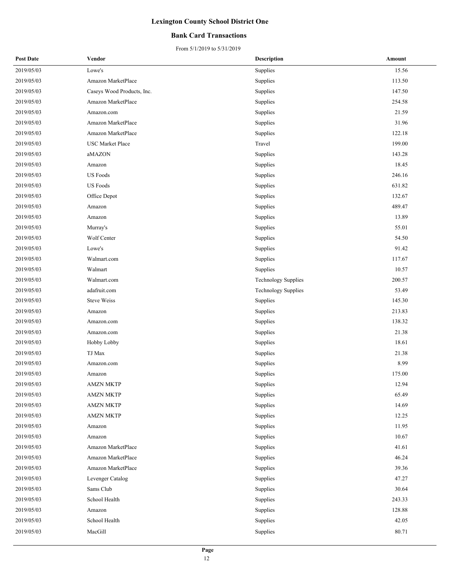#### **Bank Card Transactions**

| <b>Post Date</b> | Vendor                     | <b>Description</b>         | Amount |
|------------------|----------------------------|----------------------------|--------|
| 2019/05/03       | Lowe's                     | Supplies                   | 15.56  |
| 2019/05/03       | Amazon MarketPlace         | Supplies                   | 113.50 |
| 2019/05/03       | Caseys Wood Products, Inc. | Supplies                   | 147.50 |
| 2019/05/03       | Amazon MarketPlace         | Supplies                   | 254.58 |
| 2019/05/03       | Amazon.com                 | Supplies                   | 21.59  |
| 2019/05/03       | Amazon MarketPlace         | Supplies                   | 31.96  |
| 2019/05/03       | Amazon MarketPlace         | Supplies                   | 122.18 |
| 2019/05/03       | <b>USC</b> Market Place    | Travel                     | 199.00 |
| 2019/05/03       | aMAZON                     | Supplies                   | 143.28 |
| 2019/05/03       | Amazon                     | Supplies                   | 18.45  |
| 2019/05/03       | <b>US</b> Foods            | Supplies                   | 246.16 |
| 2019/05/03       | <b>US</b> Foods            | Supplies                   | 631.82 |
| 2019/05/03       | Office Depot               | Supplies                   | 132.67 |
| 2019/05/03       | Amazon                     | Supplies                   | 489.47 |
| 2019/05/03       | Amazon                     | Supplies                   | 13.89  |
| 2019/05/03       | Murray's                   | Supplies                   | 55.01  |
| 2019/05/03       | Wolf Center                | Supplies                   | 54.50  |
| 2019/05/03       | Lowe's                     | Supplies                   | 91.42  |
| 2019/05/03       | Walmart.com                | Supplies                   | 117.67 |
| 2019/05/03       | Walmart                    | Supplies                   | 10.57  |
| 2019/05/03       | Walmart.com                | <b>Technology Supplies</b> | 200.57 |
| 2019/05/03       | adafruit.com               | <b>Technology Supplies</b> | 53.49  |
| 2019/05/03       | <b>Steve Weiss</b>         | Supplies                   | 145.30 |
| 2019/05/03       | Amazon                     | Supplies                   | 213.83 |
| 2019/05/03       | Amazon.com                 | Supplies                   | 138.32 |
| 2019/05/03       | Amazon.com                 | Supplies                   | 21.38  |
| 2019/05/03       | Hobby Lobby                | Supplies                   | 18.61  |
| 2019/05/03       | TJ Max                     | Supplies                   | 21.38  |
| 2019/05/03       | Amazon.com                 | Supplies                   | 8.99   |
| 2019/05/03       | Amazon                     | Supplies                   | 175.00 |
| 2019/05/03       | <b>AMZN MKTP</b>           | Supplies                   | 12.94  |
| 2019/05/03       | <b>AMZN MKTP</b>           | Supplies                   | 65.49  |
| 2019/05/03       | <b>AMZN MKTP</b>           | Supplies                   | 14.69  |
| 2019/05/03       | AMZN MKTP                  | Supplies                   | 12.25  |
| 2019/05/03       | Amazon                     | Supplies                   | 11.95  |
| 2019/05/03       | Amazon                     | Supplies                   | 10.67  |
| 2019/05/03       | Amazon MarketPlace         | Supplies                   | 41.61  |
| 2019/05/03       | Amazon MarketPlace         | Supplies                   | 46.24  |
| 2019/05/03       | Amazon MarketPlace         | Supplies                   | 39.36  |
| 2019/05/03       | Levenger Catalog           | Supplies                   | 47.27  |
| 2019/05/03       | Sams Club                  | Supplies                   | 30.64  |
| 2019/05/03       | School Health              | Supplies                   | 243.33 |
| 2019/05/03       | Amazon                     | Supplies                   | 128.88 |
| 2019/05/03       | School Health              | Supplies                   | 42.05  |
| 2019/05/03       | MacGill                    | Supplies                   | 80.71  |
|                  |                            |                            |        |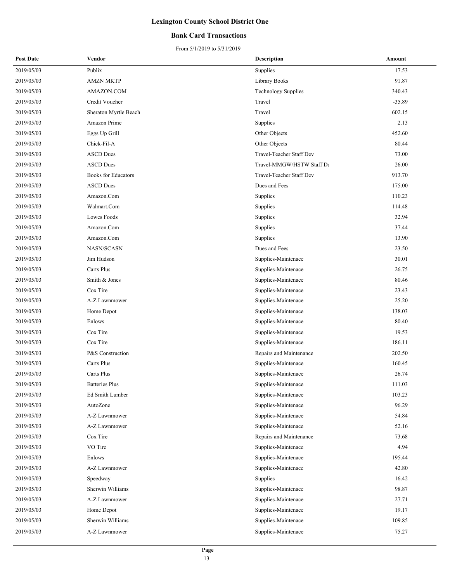#### **Bank Card Transactions**

| <b>Post Date</b> | Vendor                     | <b>Description</b>         | Amount   |
|------------------|----------------------------|----------------------------|----------|
| 2019/05/03       | Publix                     | Supplies                   | 17.53    |
| 2019/05/03       | <b>AMZN MKTP</b>           | Library Books              | 91.87    |
| 2019/05/03       | AMAZON.COM                 | <b>Technology Supplies</b> | 340.43   |
| 2019/05/03       | Credit Voucher             | Travel                     | $-35.89$ |
| 2019/05/03       | Sheraton Myrtle Beach      | Travel                     | 602.15   |
| 2019/05/03       | Amazon Prime               | Supplies                   | 2.13     |
| 2019/05/03       | Eggs Up Grill              | Other Objects              | 452.60   |
| 2019/05/03       | Chick-Fil-A                | Other Objects              | 80.44    |
| 2019/05/03       | <b>ASCD</b> Dues           | Travel-Teacher Staff Dev   | 73.00    |
| 2019/05/03       | <b>ASCD</b> Dues           | Travel-MMGW/HSTW Staff De  | 26.00    |
| 2019/05/03       | <b>Books for Educators</b> | Travel-Teacher Staff Dev   | 913.70   |
| 2019/05/03       | <b>ASCD</b> Dues           | Dues and Fees              | 175.00   |
| 2019/05/03       | Amazon.Com                 | Supplies                   | 110.23   |
| 2019/05/03       | Walmart.Com                | Supplies                   | 114.48   |
| 2019/05/03       | Lowes Foods                | Supplies                   | 32.94    |
| 2019/05/03       | Amazon.Com                 | Supplies                   | 37.44    |
| 2019/05/03       | Amazon.Com                 | Supplies                   | 13.90    |
| 2019/05/03       | NASN/SCASN                 | Dues and Fees              | 23.50    |
| 2019/05/03       | Jim Hudson                 | Supplies-Maintenace        | 30.01    |
| 2019/05/03       | Carts Plus                 | Supplies-Maintenace        | 26.75    |
| 2019/05/03       | Smith & Jones              | Supplies-Maintenace        | 80.46    |
| 2019/05/03       | Cox Tire                   | Supplies-Maintenace        | 23.43    |
| 2019/05/03       | A-Z Lawnmower              | Supplies-Maintenace        | 25.20    |
| 2019/05/03       | Home Depot                 | Supplies-Maintenace        | 138.03   |
| 2019/05/03       | Enlows                     | Supplies-Maintenace        | 80.40    |
| 2019/05/03       | Cox Tire                   | Supplies-Maintenace        | 19.53    |
| 2019/05/03       | Cox Tire                   | Supplies-Maintenace        | 186.11   |
| 2019/05/03       | P&S Construction           | Repairs and Maintenance    | 202.50   |
| 2019/05/03       | Carts Plus                 | Supplies-Maintenace        | 160.45   |
| 2019/05/03       | Carts Plus                 | Supplies-Maintenace        | 26.74    |
| 2019/05/03       | <b>Batteries Plus</b>      | Supplies-Maintenace        | 111.03   |
| 2019/05/03       | Ed Smith Lumber            | Supplies-Maintenace        | 103.23   |
| 2019/05/03       | AutoZone                   | Supplies-Maintenace        | 96.29    |
| 2019/05/03       | A-Z Lawnmower              | Supplies-Maintenace        | 54.84    |
| 2019/05/03       | A-Z Lawnmower              | Supplies-Maintenace        | 52.16    |
| 2019/05/03       | Cox Tire                   | Repairs and Maintenance    | 73.68    |
| 2019/05/03       | VO Tire                    | Supplies-Maintenace        | 4.94     |
| 2019/05/03       | Enlows                     | Supplies-Maintenace        | 195.44   |
| 2019/05/03       | A-Z Lawnmower              | Supplies-Maintenace        | 42.80    |
| 2019/05/03       | Speedway                   | Supplies                   | 16.42    |
| 2019/05/03       | Sherwin Williams           | Supplies-Maintenace        | 98.87    |
| 2019/05/03       | A-Z Lawnmower              | Supplies-Maintenace        | 27.71    |
| 2019/05/03       | Home Depot                 | Supplies-Maintenace        | 19.17    |
| 2019/05/03       | Sherwin Williams           | Supplies-Maintenace        | 109.85   |
| 2019/05/03       | A-Z Lawnmower              | Supplies-Maintenace        | 75.27    |
|                  |                            |                            |          |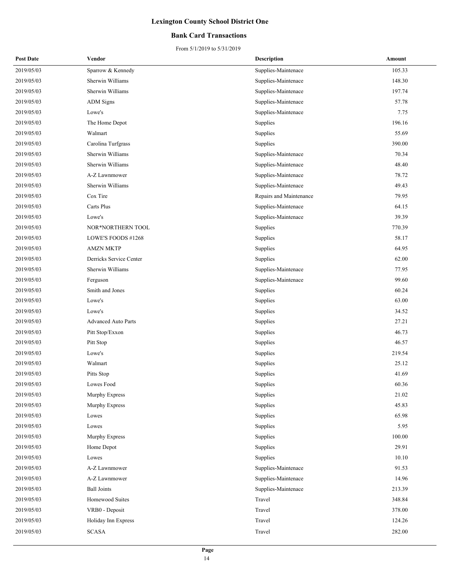#### **Bank Card Transactions**

| <b>Post Date</b> | Vendor                     | <b>Description</b>      | Amount |
|------------------|----------------------------|-------------------------|--------|
| 2019/05/03       | Sparrow & Kennedy          | Supplies-Maintenace     | 105.33 |
| 2019/05/03       | Sherwin Williams           | Supplies-Maintenace     | 148.30 |
| 2019/05/03       | Sherwin Williams           | Supplies-Maintenace     | 197.74 |
| 2019/05/03       | <b>ADM</b> Signs           | Supplies-Maintenace     | 57.78  |
| 2019/05/03       | Lowe's                     | Supplies-Maintenace     | 7.75   |
| 2019/05/03       | The Home Depot             | Supplies                | 196.16 |
| 2019/05/03       | Walmart                    | Supplies                | 55.69  |
| 2019/05/03       | Carolina Turfgrass         | Supplies                | 390.00 |
| 2019/05/03       | Sherwin Williams           | Supplies-Maintenace     | 70.34  |
| 2019/05/03       | Sherwin Williams           | Supplies-Maintenace     | 48.40  |
| 2019/05/03       | A-Z Lawnmower              | Supplies-Maintenace     | 78.72  |
| 2019/05/03       | Sherwin Williams           | Supplies-Maintenace     | 49.43  |
| 2019/05/03       | Cox Tire                   | Repairs and Maintenance | 79.95  |
| 2019/05/03       | Carts Plus                 | Supplies-Maintenace     | 64.15  |
| 2019/05/03       | Lowe's                     | Supplies-Maintenace     | 39.39  |
| 2019/05/03       | NOR*NORTHERN TOOL          | Supplies                | 770.39 |
| 2019/05/03       | LOWE'S FOODS #1268         | Supplies                | 58.17  |
| 2019/05/03       | <b>AMZN MKTP</b>           | Supplies                | 64.95  |
| 2019/05/03       | Derricks Service Center    | Supplies                | 62.00  |
| 2019/05/03       | Sherwin Williams           | Supplies-Maintenace     | 77.95  |
| 2019/05/03       | Ferguson                   | Supplies-Maintenace     | 99.60  |
| 2019/05/03       | Smith and Jones            | Supplies                | 60.24  |
| 2019/05/03       | Lowe's                     | Supplies                | 63.00  |
| 2019/05/03       | Lowe's                     | Supplies                | 34.52  |
| 2019/05/03       | <b>Advanced Auto Parts</b> | Supplies                | 27.21  |
| 2019/05/03       | Pitt Stop/Exxon            | Supplies                | 46.73  |
| 2019/05/03       | Pitt Stop                  | Supplies                | 46.57  |
| 2019/05/03       | Lowe's                     | Supplies                | 219.54 |
| 2019/05/03       | Walmart                    | Supplies                | 25.12  |
| 2019/05/03       | Pitts Stop                 | Supplies                | 41.69  |
| 2019/05/03       | Lowes Food                 | Supplies                | 60.36  |
| 2019/05/03       | Murphy Express             | Supplies                | 21.02  |
| 2019/05/03       | Murphy Express             | Supplies                | 45.83  |
| 2019/05/03       | Lowes                      | Supplies                | 65.98  |
| 2019/05/03       | Lowes                      | Supplies                | 5.95   |
| 2019/05/03       | Murphy Express             | Supplies                | 100.00 |
| 2019/05/03       | Home Depot                 | Supplies                | 29.91  |
| 2019/05/03       | Lowes                      | Supplies                | 10.10  |
| 2019/05/03       | A-Z Lawnmower              | Supplies-Maintenace     | 91.53  |
| 2019/05/03       | A-Z Lawnmower              | Supplies-Maintenace     | 14.96  |
| 2019/05/03       | <b>Ball Joints</b>         | Supplies-Maintenace     | 213.39 |
| 2019/05/03       | Homewood Suites            | Travel                  | 348.84 |
| 2019/05/03       | VRB0 - Deposit             | Travel                  | 378.00 |
| 2019/05/03       | Holiday Inn Express        | Travel                  | 124.26 |
| 2019/05/03       | <b>SCASA</b>               | Travel                  | 282.00 |
|                  |                            |                         |        |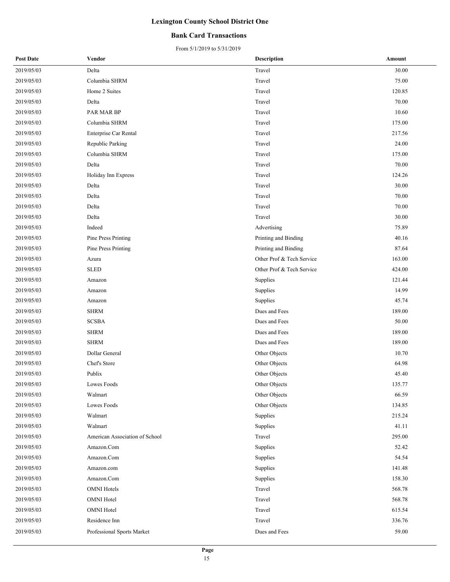#### **Bank Card Transactions**

| <b>Post Date</b> | Vendor                         | <b>Description</b>        | Amount |
|------------------|--------------------------------|---------------------------|--------|
| 2019/05/03       | Delta                          | Travel                    | 30.00  |
| 2019/05/03       | Columbia SHRM                  | Travel                    | 75.00  |
| 2019/05/03       | Home 2 Suites                  | Travel                    | 120.85 |
| 2019/05/03       | Delta                          | Travel                    | 70.00  |
| 2019/05/03       | PAR MAR BP                     | Travel                    | 10.60  |
| 2019/05/03       | Columbia SHRM                  | Travel                    | 175.00 |
| 2019/05/03       | Enterprise Car Rental          | Travel                    | 217.56 |
| 2019/05/03       | Republic Parking               | Travel                    | 24.00  |
| 2019/05/03       | Columbia SHRM                  | Travel                    | 175.00 |
| 2019/05/03       | Delta                          | Travel                    | 70.00  |
| 2019/05/03       | Holiday Inn Express            | Travel                    | 124.26 |
| 2019/05/03       | Delta                          | Travel                    | 30.00  |
| 2019/05/03       | Delta                          | Travel                    | 70.00  |
| 2019/05/03       | Delta                          | Travel                    | 70.00  |
| 2019/05/03       | Delta                          | Travel                    | 30.00  |
| 2019/05/03       | Indeed                         | Advertising               | 75.89  |
| 2019/05/03       | Pine Press Printing            | Printing and Binding      | 40.16  |
| 2019/05/03       | Pine Press Printing            | Printing and Binding      | 87.64  |
| 2019/05/03       | Azura                          | Other Prof & Tech Service | 163.00 |
| 2019/05/03       | <b>SLED</b>                    | Other Prof & Tech Service | 424.00 |
| 2019/05/03       | Amazon                         | Supplies                  | 121.44 |
| 2019/05/03       | Amazon                         | Supplies                  | 14.99  |
| 2019/05/03       | Amazon                         | Supplies                  | 45.74  |
| 2019/05/03       | <b>SHRM</b>                    | Dues and Fees             | 189.00 |
| 2019/05/03       | <b>SCSBA</b>                   | Dues and Fees             | 50.00  |
| 2019/05/03       | <b>SHRM</b>                    | Dues and Fees             | 189.00 |
| 2019/05/03       | <b>SHRM</b>                    | Dues and Fees             | 189.00 |
| 2019/05/03       | Dollar General                 | Other Objects             | 10.70  |
| 2019/05/03       | Chef's Store                   | Other Objects             | 64.98  |
| 2019/05/03       | Publix                         | Other Objects             | 45.40  |
| 2019/05/03       | Lowes Foods                    | Other Objects             | 135.77 |
| 2019/05/03       | Walmart                        | Other Objects             | 66.59  |
| 2019/05/03       | Lowes Foods                    | Other Objects             | 134.85 |
| 2019/05/03       | Walmart                        | Supplies                  | 215.24 |
| 2019/05/03       | Walmart                        | Supplies                  | 41.11  |
| 2019/05/03       | American Association of School | Travel                    | 295.00 |
| 2019/05/03       | Amazon.Com                     | Supplies                  | 52.42  |
| 2019/05/03       | Amazon.Com                     | Supplies                  | 54.54  |
| 2019/05/03       | Amazon.com                     | Supplies                  | 141.48 |
| 2019/05/03       | Amazon.Com                     | Supplies                  | 158.30 |
| 2019/05/03       | <b>OMNI</b> Hotels             | Travel                    | 568.78 |
| 2019/05/03       | <b>OMNI</b> Hotel              | Travel                    | 568.78 |
| 2019/05/03       | <b>OMNI</b> Hotel              | Travel                    | 615.54 |
| 2019/05/03       | Residence Inn                  | Travel                    | 336.76 |
| 2019/05/03       | Professional Sports Market     | Dues and Fees             | 59.00  |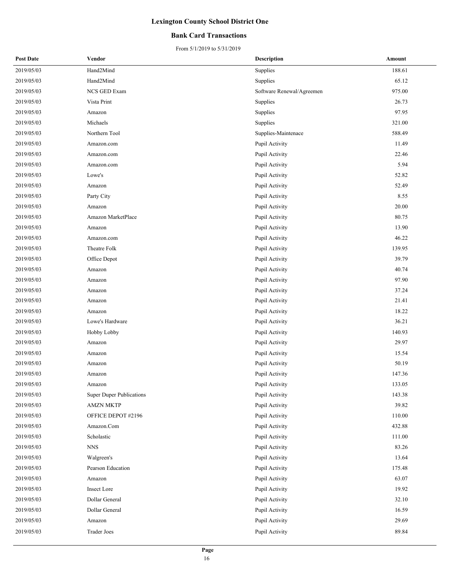#### **Bank Card Transactions**

| <b>Post Date</b> | Vendor                          | <b>Description</b>        | Amount |
|------------------|---------------------------------|---------------------------|--------|
| 2019/05/03       | Hand2Mind                       | Supplies                  | 188.61 |
| 2019/05/03       | Hand2Mind                       | Supplies                  | 65.12  |
| 2019/05/03       | NCS GED Exam                    | Software Renewal/Agreemen | 975.00 |
| 2019/05/03       | Vista Print                     | Supplies                  | 26.73  |
| 2019/05/03       | Amazon                          | Supplies                  | 97.95  |
| 2019/05/03       | Michaels                        | Supplies                  | 321.00 |
| 2019/05/03       | Northern Tool                   | Supplies-Maintenace       | 588.49 |
| 2019/05/03       | Amazon.com                      | Pupil Activity            | 11.49  |
| 2019/05/03       | Amazon.com                      | Pupil Activity            | 22.46  |
| 2019/05/03       | Amazon.com                      | Pupil Activity            | 5.94   |
| 2019/05/03       | Lowe's                          | Pupil Activity            | 52.82  |
| 2019/05/03       | Amazon                          | Pupil Activity            | 52.49  |
| 2019/05/03       | Party City                      | Pupil Activity            | 8.55   |
| 2019/05/03       | Amazon                          | Pupil Activity            | 20.00  |
| 2019/05/03       | Amazon MarketPlace              | Pupil Activity            | 80.75  |
| 2019/05/03       | Amazon                          | Pupil Activity            | 13.90  |
| 2019/05/03       | Amazon.com                      | Pupil Activity            | 46.22  |
| 2019/05/03       | Theatre Folk                    | Pupil Activity            | 139.95 |
| 2019/05/03       | Office Depot                    | Pupil Activity            | 39.79  |
| 2019/05/03       | Amazon                          | Pupil Activity            | 40.74  |
| 2019/05/03       | Amazon                          | Pupil Activity            | 97.90  |
| 2019/05/03       | Amazon                          | Pupil Activity            | 37.24  |
| 2019/05/03       | Amazon                          | Pupil Activity            | 21.41  |
| 2019/05/03       | Amazon                          | Pupil Activity            | 18.22  |
| 2019/05/03       | Lowe's Hardware                 | Pupil Activity            | 36.21  |
| 2019/05/03       | Hobby Lobby                     | Pupil Activity            | 140.93 |
| 2019/05/03       | Amazon                          | Pupil Activity            | 29.97  |
| 2019/05/03       | Amazon                          | Pupil Activity            | 15.54  |
| 2019/05/03       | Amazon                          | Pupil Activity            | 50.19  |
| 2019/05/03       | Amazon                          | Pupil Activity            | 147.36 |
| 2019/05/03       | Amazon                          | Pupil Activity            | 133.05 |
| 2019/05/03       | <b>Super Duper Publications</b> | Pupil Activity            | 143.38 |
| 2019/05/03       | <b>AMZN MKTP</b>                | Pupil Activity            | 39.82  |
| 2019/05/03       | OFFICE DEPOT #2196              | Pupil Activity            | 110.00 |
| 2019/05/03       | Amazon.Com                      | Pupil Activity            | 432.88 |
| 2019/05/03       | Scholastic                      | Pupil Activity            | 111.00 |
| 2019/05/03       | <b>NNS</b>                      | Pupil Activity            | 83.26  |
| 2019/05/03       | Walgreen's                      | Pupil Activity            | 13.64  |
| 2019/05/03       | Pearson Education               | Pupil Activity            | 175.48 |
| 2019/05/03       | Amazon                          | Pupil Activity            | 63.07  |
| 2019/05/03       | Insect Lore                     | Pupil Activity            | 19.92  |
| 2019/05/03       | Dollar General                  | Pupil Activity            | 32.10  |
| 2019/05/03       | Dollar General                  | Pupil Activity            | 16.59  |
| 2019/05/03       | Amazon                          | Pupil Activity            | 29.69  |
| 2019/05/03       | Trader Joes                     | Pupil Activity            | 89.84  |
|                  |                                 |                           |        |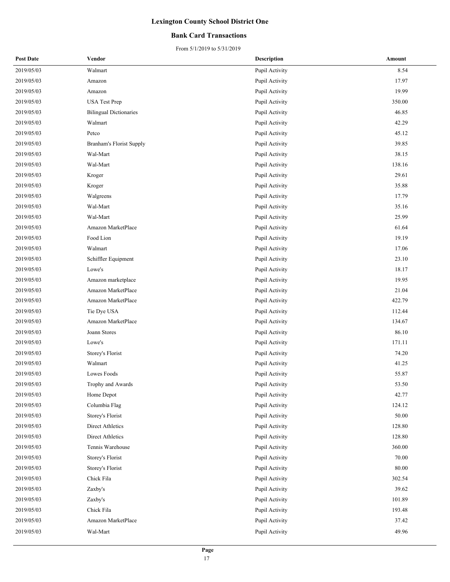#### **Bank Card Transactions**

| <b>Post Date</b> | Vendor                          | <b>Description</b> | Amount |
|------------------|---------------------------------|--------------------|--------|
| 2019/05/03       | Walmart                         | Pupil Activity     | 8.54   |
| 2019/05/03       | Amazon                          | Pupil Activity     | 17.97  |
| 2019/05/03       | Amazon                          | Pupil Activity     | 19.99  |
| 2019/05/03       | <b>USA Test Prep</b>            | Pupil Activity     | 350.00 |
| 2019/05/03       | <b>Bilingual Dictionaries</b>   | Pupil Activity     | 46.85  |
| 2019/05/03       | Walmart                         | Pupil Activity     | 42.29  |
| 2019/05/03       | Petco                           | Pupil Activity     | 45.12  |
| 2019/05/03       | <b>Branham's Florist Supply</b> | Pupil Activity     | 39.85  |
| 2019/05/03       | Wal-Mart                        | Pupil Activity     | 38.15  |
| 2019/05/03       | Wal-Mart                        | Pupil Activity     | 138.16 |
| 2019/05/03       | Kroger                          | Pupil Activity     | 29.61  |
| 2019/05/03       | Kroger                          | Pupil Activity     | 35.88  |
| 2019/05/03       | Walgreens                       | Pupil Activity     | 17.79  |
| 2019/05/03       | Wal-Mart                        | Pupil Activity     | 35.16  |
| 2019/05/03       | Wal-Mart                        | Pupil Activity     | 25.99  |
| 2019/05/03       | Amazon MarketPlace              | Pupil Activity     | 61.64  |
| 2019/05/03       | Food Lion                       | Pupil Activity     | 19.19  |
| 2019/05/03       | Walmart                         | Pupil Activity     | 17.06  |
| 2019/05/03       | Schiffler Equipment             | Pupil Activity     | 23.10  |
| 2019/05/03       | Lowe's                          | Pupil Activity     | 18.17  |
| 2019/05/03       | Amazon marketplace              | Pupil Activity     | 19.95  |
| 2019/05/03       | Amazon MarketPlace              | Pupil Activity     | 21.04  |
| 2019/05/03       | Amazon MarketPlace              | Pupil Activity     | 422.79 |
| 2019/05/03       | Tie Dye USA                     | Pupil Activity     | 112.44 |
| 2019/05/03       | Amazon MarketPlace              | Pupil Activity     | 134.67 |
| 2019/05/03       | Joann Stores                    | Pupil Activity     | 86.10  |
| 2019/05/03       | $\rm{Lower's}$                  | Pupil Activity     | 171.11 |
| 2019/05/03       | Storey's Florist                | Pupil Activity     | 74.20  |
| 2019/05/03       | Walmart                         | Pupil Activity     | 41.25  |
| 2019/05/03       | Lowes Foods                     | Pupil Activity     | 55.87  |
| 2019/05/03       | Trophy and Awards               | Pupil Activity     | 53.50  |
| 2019/05/03       | Home Depot                      | Pupil Activity     | 42.77  |
| 2019/05/03       | Columbia Flag                   | Pupil Activity     | 124.12 |
| 2019/05/03       | Storey's Florist                | Pupil Activity     | 50.00  |
| 2019/05/03       | Direct Athletics                | Pupil Activity     | 128.80 |
| 2019/05/03       | Direct Athletics                | Pupil Activity     | 128.80 |
| 2019/05/03       | Tennis Warehouse                | Pupil Activity     | 360.00 |
| 2019/05/03       | Storey's Florist                | Pupil Activity     | 70.00  |
| 2019/05/03       | Storey's Florist                | Pupil Activity     | 80.00  |
| 2019/05/03       | Chick Fila                      | Pupil Activity     | 302.54 |
| 2019/05/03       | Zaxby's                         | Pupil Activity     | 39.62  |
| 2019/05/03       | Zaxby's                         | Pupil Activity     | 101.89 |
| 2019/05/03       | Chick Fila                      | Pupil Activity     | 193.48 |
| 2019/05/03       | Amazon MarketPlace              | Pupil Activity     | 37.42  |
| 2019/05/03       | Wal-Mart                        | Pupil Activity     | 49.96  |
|                  |                                 |                    |        |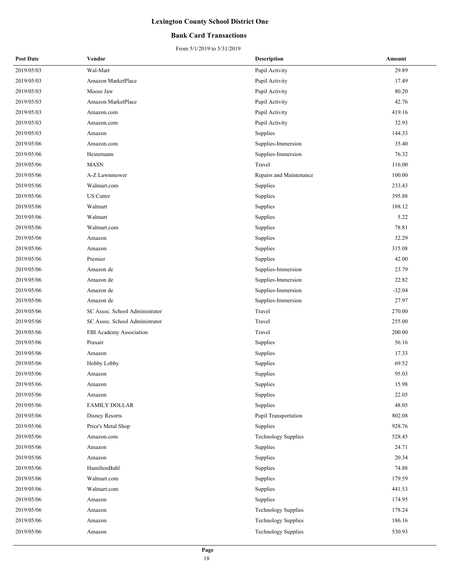#### **Bank Card Transactions**

| 2019/05/03<br>Wal-Mart<br>29.89<br>Pupil Activity<br>2019/05/03<br>Amazon MarketPlace<br>17.49<br>Pupil Activity<br>2019/05/03<br>Moose Jaw<br>Pupil Activity<br>80.20<br>42.76<br>2019/05/03<br>Amazon MarketPlace<br>Pupil Activity<br>2019/05/03<br>Pupil Activity<br>419.16<br>Amazon.com<br>32.93<br>2019/05/03<br>Pupil Activity<br>Amazon.com<br>2019/05/03<br>144.33<br>Supplies<br>Amazon<br>35.40<br>2019/05/06<br>Supplies-Immersion<br>Amazon.com<br>76.32<br>2019/05/06<br>Heinemann<br>Supplies-Immersion<br><b>MASN</b><br>2019/05/06<br>Travel<br>116.00<br>2019/05/06<br>100.00<br>A-Z Lawnmower<br>Repairs and Maintenance<br>233.43<br>2019/05/06<br>Walmart.com<br>Supplies<br>2019/05/06<br><b>US</b> Cutter<br>395.88<br>Supplies<br>188.12<br>2019/05/06<br>Walmart<br>Supplies<br>Walmart<br>5.22<br>2019/05/06<br>Supplies<br>78.81<br>2019/05/06<br>Walmart.com<br>Supplies<br>32.29<br>2019/05/06<br>Supplies<br>Amazon<br>2019/05/06<br>Amazon<br>Supplies<br>315.08<br>42.00<br>2019/05/06<br>Premier<br>Supplies<br>2019/05/06<br>Supplies-Immersion<br>23.79<br>Amazon de<br>2019/05/06<br>22.82<br>Amazon de<br>Supplies-Immersion<br>2019/05/06<br>Amazon de<br>Supplies-Immersion<br>$-32.04$<br>Supplies-Immersion<br>27.97<br>2019/05/06<br>Amazon de<br>2019/05/06<br>SC Assoc. School Administrator<br>Travel<br>270.00<br>Travel<br>2019/05/06<br>SC Assoc. School Administrator<br>255.00<br>Travel<br>200.00<br>2019/05/06<br>FBI Academy Association<br>2019/05/06<br>Praxair<br>56.16<br>Supplies<br>2019/05/06<br>Supplies<br>17.33<br>Amazon<br>69.52<br>2019/05/06<br>Hobby Lobby<br>Supplies<br>Supplies<br>95.03<br>2019/05/06<br>Amazon<br>2019/05/06<br>15.98<br>Supplies<br>Amazon<br>2019/05/06<br>22.05<br>Supplies<br>Amazon<br>2019/05/06<br>Supplies<br>48.05<br><b>FAMILY DOLLAR</b><br>Pupil Transportation<br>802.08<br>2019/05/06<br>Disney Resorts<br>2019/05/06<br>928.76<br>Price's Metal Shop<br>Supplies<br>528.45<br>2019/05/06<br><b>Technology Supplies</b><br>Amazon.com<br>2019/05/06<br>24.71<br>Supplies<br>Amazon<br>20.34<br>2019/05/06<br>Supplies<br>Amazon<br>HamiltonBuhl<br>74.88<br>2019/05/06<br>Supplies<br>2019/05/06<br>179.59<br>Walmart.com<br>Supplies<br>2019/05/06<br>441.53<br>Walmart.com<br>Supplies<br>Supplies<br>174.95<br>2019/05/06<br>Amazon<br>2019/05/06<br>178.24<br><b>Technology Supplies</b><br>Amazon<br>186.16<br>2019/05/06<br><b>Technology Supplies</b><br>Amazon<br>2019/05/06<br>530.93<br><b>Technology Supplies</b><br>Amazon | <b>Post Date</b> | Vendor | <b>Description</b> | Amount |
|------------------------------------------------------------------------------------------------------------------------------------------------------------------------------------------------------------------------------------------------------------------------------------------------------------------------------------------------------------------------------------------------------------------------------------------------------------------------------------------------------------------------------------------------------------------------------------------------------------------------------------------------------------------------------------------------------------------------------------------------------------------------------------------------------------------------------------------------------------------------------------------------------------------------------------------------------------------------------------------------------------------------------------------------------------------------------------------------------------------------------------------------------------------------------------------------------------------------------------------------------------------------------------------------------------------------------------------------------------------------------------------------------------------------------------------------------------------------------------------------------------------------------------------------------------------------------------------------------------------------------------------------------------------------------------------------------------------------------------------------------------------------------------------------------------------------------------------------------------------------------------------------------------------------------------------------------------------------------------------------------------------------------------------------------------------------------------------------------------------------------------------------------------------------------------------------------------------------------------------------------------------------------------------------------------------------------------------------------------------------------------------------------------------------------------------------------------------------------------------------------------------------------------------------|------------------|--------|--------------------|--------|
|                                                                                                                                                                                                                                                                                                                                                                                                                                                                                                                                                                                                                                                                                                                                                                                                                                                                                                                                                                                                                                                                                                                                                                                                                                                                                                                                                                                                                                                                                                                                                                                                                                                                                                                                                                                                                                                                                                                                                                                                                                                                                                                                                                                                                                                                                                                                                                                                                                                                                                                                                |                  |        |                    |        |
|                                                                                                                                                                                                                                                                                                                                                                                                                                                                                                                                                                                                                                                                                                                                                                                                                                                                                                                                                                                                                                                                                                                                                                                                                                                                                                                                                                                                                                                                                                                                                                                                                                                                                                                                                                                                                                                                                                                                                                                                                                                                                                                                                                                                                                                                                                                                                                                                                                                                                                                                                |                  |        |                    |        |
|                                                                                                                                                                                                                                                                                                                                                                                                                                                                                                                                                                                                                                                                                                                                                                                                                                                                                                                                                                                                                                                                                                                                                                                                                                                                                                                                                                                                                                                                                                                                                                                                                                                                                                                                                                                                                                                                                                                                                                                                                                                                                                                                                                                                                                                                                                                                                                                                                                                                                                                                                |                  |        |                    |        |
|                                                                                                                                                                                                                                                                                                                                                                                                                                                                                                                                                                                                                                                                                                                                                                                                                                                                                                                                                                                                                                                                                                                                                                                                                                                                                                                                                                                                                                                                                                                                                                                                                                                                                                                                                                                                                                                                                                                                                                                                                                                                                                                                                                                                                                                                                                                                                                                                                                                                                                                                                |                  |        |                    |        |
|                                                                                                                                                                                                                                                                                                                                                                                                                                                                                                                                                                                                                                                                                                                                                                                                                                                                                                                                                                                                                                                                                                                                                                                                                                                                                                                                                                                                                                                                                                                                                                                                                                                                                                                                                                                                                                                                                                                                                                                                                                                                                                                                                                                                                                                                                                                                                                                                                                                                                                                                                |                  |        |                    |        |
|                                                                                                                                                                                                                                                                                                                                                                                                                                                                                                                                                                                                                                                                                                                                                                                                                                                                                                                                                                                                                                                                                                                                                                                                                                                                                                                                                                                                                                                                                                                                                                                                                                                                                                                                                                                                                                                                                                                                                                                                                                                                                                                                                                                                                                                                                                                                                                                                                                                                                                                                                |                  |        |                    |        |
|                                                                                                                                                                                                                                                                                                                                                                                                                                                                                                                                                                                                                                                                                                                                                                                                                                                                                                                                                                                                                                                                                                                                                                                                                                                                                                                                                                                                                                                                                                                                                                                                                                                                                                                                                                                                                                                                                                                                                                                                                                                                                                                                                                                                                                                                                                                                                                                                                                                                                                                                                |                  |        |                    |        |
|                                                                                                                                                                                                                                                                                                                                                                                                                                                                                                                                                                                                                                                                                                                                                                                                                                                                                                                                                                                                                                                                                                                                                                                                                                                                                                                                                                                                                                                                                                                                                                                                                                                                                                                                                                                                                                                                                                                                                                                                                                                                                                                                                                                                                                                                                                                                                                                                                                                                                                                                                |                  |        |                    |        |
|                                                                                                                                                                                                                                                                                                                                                                                                                                                                                                                                                                                                                                                                                                                                                                                                                                                                                                                                                                                                                                                                                                                                                                                                                                                                                                                                                                                                                                                                                                                                                                                                                                                                                                                                                                                                                                                                                                                                                                                                                                                                                                                                                                                                                                                                                                                                                                                                                                                                                                                                                |                  |        |                    |        |
|                                                                                                                                                                                                                                                                                                                                                                                                                                                                                                                                                                                                                                                                                                                                                                                                                                                                                                                                                                                                                                                                                                                                                                                                                                                                                                                                                                                                                                                                                                                                                                                                                                                                                                                                                                                                                                                                                                                                                                                                                                                                                                                                                                                                                                                                                                                                                                                                                                                                                                                                                |                  |        |                    |        |
|                                                                                                                                                                                                                                                                                                                                                                                                                                                                                                                                                                                                                                                                                                                                                                                                                                                                                                                                                                                                                                                                                                                                                                                                                                                                                                                                                                                                                                                                                                                                                                                                                                                                                                                                                                                                                                                                                                                                                                                                                                                                                                                                                                                                                                                                                                                                                                                                                                                                                                                                                |                  |        |                    |        |
|                                                                                                                                                                                                                                                                                                                                                                                                                                                                                                                                                                                                                                                                                                                                                                                                                                                                                                                                                                                                                                                                                                                                                                                                                                                                                                                                                                                                                                                                                                                                                                                                                                                                                                                                                                                                                                                                                                                                                                                                                                                                                                                                                                                                                                                                                                                                                                                                                                                                                                                                                |                  |        |                    |        |
|                                                                                                                                                                                                                                                                                                                                                                                                                                                                                                                                                                                                                                                                                                                                                                                                                                                                                                                                                                                                                                                                                                                                                                                                                                                                                                                                                                                                                                                                                                                                                                                                                                                                                                                                                                                                                                                                                                                                                                                                                                                                                                                                                                                                                                                                                                                                                                                                                                                                                                                                                |                  |        |                    |        |
|                                                                                                                                                                                                                                                                                                                                                                                                                                                                                                                                                                                                                                                                                                                                                                                                                                                                                                                                                                                                                                                                                                                                                                                                                                                                                                                                                                                                                                                                                                                                                                                                                                                                                                                                                                                                                                                                                                                                                                                                                                                                                                                                                                                                                                                                                                                                                                                                                                                                                                                                                |                  |        |                    |        |
|                                                                                                                                                                                                                                                                                                                                                                                                                                                                                                                                                                                                                                                                                                                                                                                                                                                                                                                                                                                                                                                                                                                                                                                                                                                                                                                                                                                                                                                                                                                                                                                                                                                                                                                                                                                                                                                                                                                                                                                                                                                                                                                                                                                                                                                                                                                                                                                                                                                                                                                                                |                  |        |                    |        |
|                                                                                                                                                                                                                                                                                                                                                                                                                                                                                                                                                                                                                                                                                                                                                                                                                                                                                                                                                                                                                                                                                                                                                                                                                                                                                                                                                                                                                                                                                                                                                                                                                                                                                                                                                                                                                                                                                                                                                                                                                                                                                                                                                                                                                                                                                                                                                                                                                                                                                                                                                |                  |        |                    |        |
|                                                                                                                                                                                                                                                                                                                                                                                                                                                                                                                                                                                                                                                                                                                                                                                                                                                                                                                                                                                                                                                                                                                                                                                                                                                                                                                                                                                                                                                                                                                                                                                                                                                                                                                                                                                                                                                                                                                                                                                                                                                                                                                                                                                                                                                                                                                                                                                                                                                                                                                                                |                  |        |                    |        |
|                                                                                                                                                                                                                                                                                                                                                                                                                                                                                                                                                                                                                                                                                                                                                                                                                                                                                                                                                                                                                                                                                                                                                                                                                                                                                                                                                                                                                                                                                                                                                                                                                                                                                                                                                                                                                                                                                                                                                                                                                                                                                                                                                                                                                                                                                                                                                                                                                                                                                                                                                |                  |        |                    |        |
|                                                                                                                                                                                                                                                                                                                                                                                                                                                                                                                                                                                                                                                                                                                                                                                                                                                                                                                                                                                                                                                                                                                                                                                                                                                                                                                                                                                                                                                                                                                                                                                                                                                                                                                                                                                                                                                                                                                                                                                                                                                                                                                                                                                                                                                                                                                                                                                                                                                                                                                                                |                  |        |                    |        |
|                                                                                                                                                                                                                                                                                                                                                                                                                                                                                                                                                                                                                                                                                                                                                                                                                                                                                                                                                                                                                                                                                                                                                                                                                                                                                                                                                                                                                                                                                                                                                                                                                                                                                                                                                                                                                                                                                                                                                                                                                                                                                                                                                                                                                                                                                                                                                                                                                                                                                                                                                |                  |        |                    |        |
|                                                                                                                                                                                                                                                                                                                                                                                                                                                                                                                                                                                                                                                                                                                                                                                                                                                                                                                                                                                                                                                                                                                                                                                                                                                                                                                                                                                                                                                                                                                                                                                                                                                                                                                                                                                                                                                                                                                                                                                                                                                                                                                                                                                                                                                                                                                                                                                                                                                                                                                                                |                  |        |                    |        |
|                                                                                                                                                                                                                                                                                                                                                                                                                                                                                                                                                                                                                                                                                                                                                                                                                                                                                                                                                                                                                                                                                                                                                                                                                                                                                                                                                                                                                                                                                                                                                                                                                                                                                                                                                                                                                                                                                                                                                                                                                                                                                                                                                                                                                                                                                                                                                                                                                                                                                                                                                |                  |        |                    |        |
|                                                                                                                                                                                                                                                                                                                                                                                                                                                                                                                                                                                                                                                                                                                                                                                                                                                                                                                                                                                                                                                                                                                                                                                                                                                                                                                                                                                                                                                                                                                                                                                                                                                                                                                                                                                                                                                                                                                                                                                                                                                                                                                                                                                                                                                                                                                                                                                                                                                                                                                                                |                  |        |                    |        |
|                                                                                                                                                                                                                                                                                                                                                                                                                                                                                                                                                                                                                                                                                                                                                                                                                                                                                                                                                                                                                                                                                                                                                                                                                                                                                                                                                                                                                                                                                                                                                                                                                                                                                                                                                                                                                                                                                                                                                                                                                                                                                                                                                                                                                                                                                                                                                                                                                                                                                                                                                |                  |        |                    |        |
|                                                                                                                                                                                                                                                                                                                                                                                                                                                                                                                                                                                                                                                                                                                                                                                                                                                                                                                                                                                                                                                                                                                                                                                                                                                                                                                                                                                                                                                                                                                                                                                                                                                                                                                                                                                                                                                                                                                                                                                                                                                                                                                                                                                                                                                                                                                                                                                                                                                                                                                                                |                  |        |                    |        |
|                                                                                                                                                                                                                                                                                                                                                                                                                                                                                                                                                                                                                                                                                                                                                                                                                                                                                                                                                                                                                                                                                                                                                                                                                                                                                                                                                                                                                                                                                                                                                                                                                                                                                                                                                                                                                                                                                                                                                                                                                                                                                                                                                                                                                                                                                                                                                                                                                                                                                                                                                |                  |        |                    |        |
|                                                                                                                                                                                                                                                                                                                                                                                                                                                                                                                                                                                                                                                                                                                                                                                                                                                                                                                                                                                                                                                                                                                                                                                                                                                                                                                                                                                                                                                                                                                                                                                                                                                                                                                                                                                                                                                                                                                                                                                                                                                                                                                                                                                                                                                                                                                                                                                                                                                                                                                                                |                  |        |                    |        |
|                                                                                                                                                                                                                                                                                                                                                                                                                                                                                                                                                                                                                                                                                                                                                                                                                                                                                                                                                                                                                                                                                                                                                                                                                                                                                                                                                                                                                                                                                                                                                                                                                                                                                                                                                                                                                                                                                                                                                                                                                                                                                                                                                                                                                                                                                                                                                                                                                                                                                                                                                |                  |        |                    |        |
|                                                                                                                                                                                                                                                                                                                                                                                                                                                                                                                                                                                                                                                                                                                                                                                                                                                                                                                                                                                                                                                                                                                                                                                                                                                                                                                                                                                                                                                                                                                                                                                                                                                                                                                                                                                                                                                                                                                                                                                                                                                                                                                                                                                                                                                                                                                                                                                                                                                                                                                                                |                  |        |                    |        |
|                                                                                                                                                                                                                                                                                                                                                                                                                                                                                                                                                                                                                                                                                                                                                                                                                                                                                                                                                                                                                                                                                                                                                                                                                                                                                                                                                                                                                                                                                                                                                                                                                                                                                                                                                                                                                                                                                                                                                                                                                                                                                                                                                                                                                                                                                                                                                                                                                                                                                                                                                |                  |        |                    |        |
|                                                                                                                                                                                                                                                                                                                                                                                                                                                                                                                                                                                                                                                                                                                                                                                                                                                                                                                                                                                                                                                                                                                                                                                                                                                                                                                                                                                                                                                                                                                                                                                                                                                                                                                                                                                                                                                                                                                                                                                                                                                                                                                                                                                                                                                                                                                                                                                                                                                                                                                                                |                  |        |                    |        |
|                                                                                                                                                                                                                                                                                                                                                                                                                                                                                                                                                                                                                                                                                                                                                                                                                                                                                                                                                                                                                                                                                                                                                                                                                                                                                                                                                                                                                                                                                                                                                                                                                                                                                                                                                                                                                                                                                                                                                                                                                                                                                                                                                                                                                                                                                                                                                                                                                                                                                                                                                |                  |        |                    |        |
|                                                                                                                                                                                                                                                                                                                                                                                                                                                                                                                                                                                                                                                                                                                                                                                                                                                                                                                                                                                                                                                                                                                                                                                                                                                                                                                                                                                                                                                                                                                                                                                                                                                                                                                                                                                                                                                                                                                                                                                                                                                                                                                                                                                                                                                                                                                                                                                                                                                                                                                                                |                  |        |                    |        |
|                                                                                                                                                                                                                                                                                                                                                                                                                                                                                                                                                                                                                                                                                                                                                                                                                                                                                                                                                                                                                                                                                                                                                                                                                                                                                                                                                                                                                                                                                                                                                                                                                                                                                                                                                                                                                                                                                                                                                                                                                                                                                                                                                                                                                                                                                                                                                                                                                                                                                                                                                |                  |        |                    |        |
|                                                                                                                                                                                                                                                                                                                                                                                                                                                                                                                                                                                                                                                                                                                                                                                                                                                                                                                                                                                                                                                                                                                                                                                                                                                                                                                                                                                                                                                                                                                                                                                                                                                                                                                                                                                                                                                                                                                                                                                                                                                                                                                                                                                                                                                                                                                                                                                                                                                                                                                                                |                  |        |                    |        |
|                                                                                                                                                                                                                                                                                                                                                                                                                                                                                                                                                                                                                                                                                                                                                                                                                                                                                                                                                                                                                                                                                                                                                                                                                                                                                                                                                                                                                                                                                                                                                                                                                                                                                                                                                                                                                                                                                                                                                                                                                                                                                                                                                                                                                                                                                                                                                                                                                                                                                                                                                |                  |        |                    |        |
|                                                                                                                                                                                                                                                                                                                                                                                                                                                                                                                                                                                                                                                                                                                                                                                                                                                                                                                                                                                                                                                                                                                                                                                                                                                                                                                                                                                                                                                                                                                                                                                                                                                                                                                                                                                                                                                                                                                                                                                                                                                                                                                                                                                                                                                                                                                                                                                                                                                                                                                                                |                  |        |                    |        |
|                                                                                                                                                                                                                                                                                                                                                                                                                                                                                                                                                                                                                                                                                                                                                                                                                                                                                                                                                                                                                                                                                                                                                                                                                                                                                                                                                                                                                                                                                                                                                                                                                                                                                                                                                                                                                                                                                                                                                                                                                                                                                                                                                                                                                                                                                                                                                                                                                                                                                                                                                |                  |        |                    |        |
|                                                                                                                                                                                                                                                                                                                                                                                                                                                                                                                                                                                                                                                                                                                                                                                                                                                                                                                                                                                                                                                                                                                                                                                                                                                                                                                                                                                                                                                                                                                                                                                                                                                                                                                                                                                                                                                                                                                                                                                                                                                                                                                                                                                                                                                                                                                                                                                                                                                                                                                                                |                  |        |                    |        |
|                                                                                                                                                                                                                                                                                                                                                                                                                                                                                                                                                                                                                                                                                                                                                                                                                                                                                                                                                                                                                                                                                                                                                                                                                                                                                                                                                                                                                                                                                                                                                                                                                                                                                                                                                                                                                                                                                                                                                                                                                                                                                                                                                                                                                                                                                                                                                                                                                                                                                                                                                |                  |        |                    |        |
|                                                                                                                                                                                                                                                                                                                                                                                                                                                                                                                                                                                                                                                                                                                                                                                                                                                                                                                                                                                                                                                                                                                                                                                                                                                                                                                                                                                                                                                                                                                                                                                                                                                                                                                                                                                                                                                                                                                                                                                                                                                                                                                                                                                                                                                                                                                                                                                                                                                                                                                                                |                  |        |                    |        |
|                                                                                                                                                                                                                                                                                                                                                                                                                                                                                                                                                                                                                                                                                                                                                                                                                                                                                                                                                                                                                                                                                                                                                                                                                                                                                                                                                                                                                                                                                                                                                                                                                                                                                                                                                                                                                                                                                                                                                                                                                                                                                                                                                                                                                                                                                                                                                                                                                                                                                                                                                |                  |        |                    |        |
|                                                                                                                                                                                                                                                                                                                                                                                                                                                                                                                                                                                                                                                                                                                                                                                                                                                                                                                                                                                                                                                                                                                                                                                                                                                                                                                                                                                                                                                                                                                                                                                                                                                                                                                                                                                                                                                                                                                                                                                                                                                                                                                                                                                                                                                                                                                                                                                                                                                                                                                                                |                  |        |                    |        |
|                                                                                                                                                                                                                                                                                                                                                                                                                                                                                                                                                                                                                                                                                                                                                                                                                                                                                                                                                                                                                                                                                                                                                                                                                                                                                                                                                                                                                                                                                                                                                                                                                                                                                                                                                                                                                                                                                                                                                                                                                                                                                                                                                                                                                                                                                                                                                                                                                                                                                                                                                |                  |        |                    |        |
|                                                                                                                                                                                                                                                                                                                                                                                                                                                                                                                                                                                                                                                                                                                                                                                                                                                                                                                                                                                                                                                                                                                                                                                                                                                                                                                                                                                                                                                                                                                                                                                                                                                                                                                                                                                                                                                                                                                                                                                                                                                                                                                                                                                                                                                                                                                                                                                                                                                                                                                                                |                  |        |                    |        |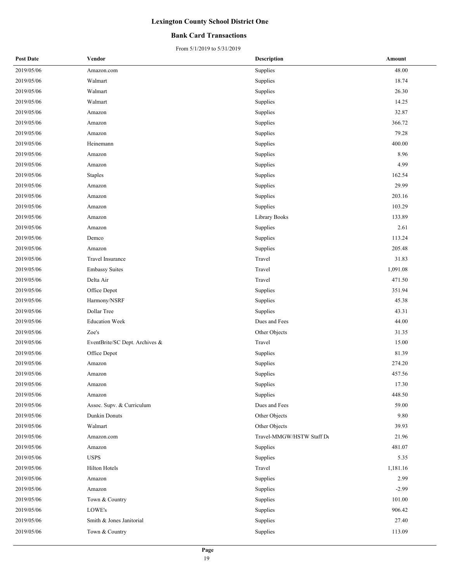#### **Bank Card Transactions**

| <b>Post Date</b> | Vendor                         | <b>Description</b>        | Amount   |
|------------------|--------------------------------|---------------------------|----------|
| 2019/05/06       | Amazon.com                     | Supplies                  | 48.00    |
| 2019/05/06       | Walmart                        | Supplies                  | 18.74    |
| 2019/05/06       | Walmart                        | Supplies                  | 26.30    |
| 2019/05/06       | Walmart                        | Supplies                  | 14.25    |
| 2019/05/06       | Amazon                         | Supplies                  | 32.87    |
| 2019/05/06       | Amazon                         | Supplies                  | 366.72   |
| 2019/05/06       | Amazon                         | Supplies                  | 79.28    |
| 2019/05/06       | Heinemann                      | Supplies                  | 400.00   |
| 2019/05/06       | Amazon                         | Supplies                  | 8.96     |
| 2019/05/06       | Amazon                         | Supplies                  | 4.99     |
| 2019/05/06       | <b>Staples</b>                 | Supplies                  | 162.54   |
| 2019/05/06       | Amazon                         | Supplies                  | 29.99    |
| 2019/05/06       | Amazon                         | Supplies                  | 203.16   |
| 2019/05/06       | Amazon                         | Supplies                  | 103.29   |
| 2019/05/06       | Amazon                         | Library Books             | 133.89   |
| 2019/05/06       | Amazon                         | Supplies                  | 2.61     |
| 2019/05/06       | Demco                          | Supplies                  | 113.24   |
| 2019/05/06       | Amazon                         | Supplies                  | 205.48   |
| 2019/05/06       | Travel Insurance               | Travel                    | 31.83    |
| 2019/05/06       | <b>Embassy Suites</b>          | Travel                    | 1,091.08 |
| 2019/05/06       | Delta Air                      | Travel                    | 471.50   |
| 2019/05/06       | Office Depot                   | Supplies                  | 351.94   |
| 2019/05/06       | Harmony/NSRF                   | Supplies                  | 45.38    |
| 2019/05/06       | Dollar Tree                    | Supplies                  | 43.31    |
| 2019/05/06       | <b>Education Week</b>          | Dues and Fees             | 44.00    |
| 2019/05/06       | Zoe's                          | Other Objects             | 31.35    |
| 2019/05/06       | EventBrite/SC Dept. Archives & | Travel                    | 15.00    |
| 2019/05/06       | Office Depot                   | Supplies                  | 81.39    |
| 2019/05/06       | Amazon                         | Supplies                  | 274.20   |
| 2019/05/06       | Amazon                         | Supplies                  | 457.56   |
| 2019/05/06       | Amazon                         | Supplies                  | 17.30    |
| 2019/05/06       | Amazon                         | Supplies                  | 448.50   |
| 2019/05/06       | Assoc. Supv. & Curriculum      | Dues and Fees             | 59.00    |
| 2019/05/06       | Dunkin Donuts                  | Other Objects             | 9.80     |
| 2019/05/06       | Walmart                        | Other Objects             | 39.93    |
| 2019/05/06       | Amazon.com                     | Travel-MMGW/HSTW Staff De | 21.96    |
| 2019/05/06       | Amazon                         | Supplies                  | 481.07   |
| 2019/05/06       | <b>USPS</b>                    | Supplies                  | 5.35     |
| 2019/05/06       | <b>Hilton Hotels</b>           | Travel                    | 1,181.16 |
| 2019/05/06       | Amazon                         | Supplies                  | 2.99     |
| 2019/05/06       | Amazon                         | Supplies                  | $-2.99$  |
| 2019/05/06       | Town & Country                 | Supplies                  | 101.00   |
| 2019/05/06       | LOWE's                         | Supplies                  | 906.42   |
| 2019/05/06       | Smith & Jones Janitorial       | Supplies                  | 27.40    |
| 2019/05/06       | Town & Country                 | Supplies                  | 113.09   |
|                  |                                |                           |          |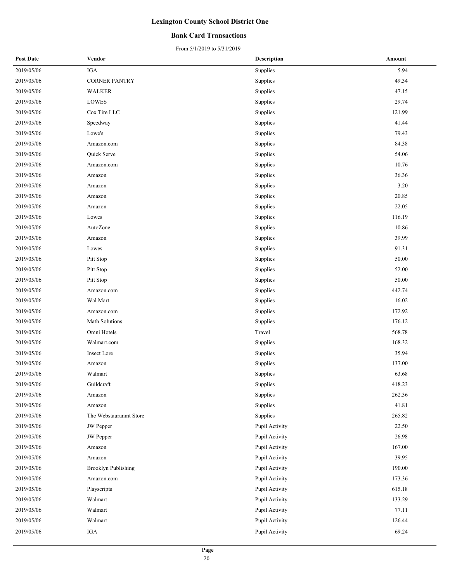#### **Bank Card Transactions**

| <b>Post Date</b> | Vendor                     | <b>Description</b> | Amount |
|------------------|----------------------------|--------------------|--------|
| 2019/05/06       | <b>IGA</b>                 | Supplies           | 5.94   |
| 2019/05/06       | <b>CORNER PANTRY</b>       | Supplies           | 49.34  |
| 2019/05/06       | <b>WALKER</b>              | Supplies           | 47.15  |
| 2019/05/06       | LOWES                      | Supplies           | 29.74  |
| 2019/05/06       | Cox Tire LLC               | Supplies           | 121.99 |
| 2019/05/06       | Speedway                   | Supplies           | 41.44  |
| 2019/05/06       | Lowe's                     | Supplies           | 79.43  |
| 2019/05/06       | Amazon.com                 | Supplies           | 84.38  |
| 2019/05/06       | Quick Serve                | Supplies           | 54.06  |
| 2019/05/06       | Amazon.com                 | Supplies           | 10.76  |
| 2019/05/06       | Amazon                     | Supplies           | 36.36  |
| 2019/05/06       | Amazon                     | Supplies           | 3.20   |
| 2019/05/06       | Amazon                     | Supplies           | 20.85  |
| 2019/05/06       | Amazon                     | Supplies           | 22.05  |
| 2019/05/06       | Lowes                      | Supplies           | 116.19 |
| 2019/05/06       | AutoZone                   | Supplies           | 10.86  |
| 2019/05/06       | Amazon                     | Supplies           | 39.99  |
| 2019/05/06       | Lowes                      | Supplies           | 91.31  |
| 2019/05/06       | Pitt Stop                  | Supplies           | 50.00  |
| 2019/05/06       | Pitt Stop                  | Supplies           | 52.00  |
| 2019/05/06       | Pitt Stop                  | Supplies           | 50.00  |
| 2019/05/06       | Amazon.com                 | Supplies           | 442.74 |
| 2019/05/06       | Wal Mart                   | Supplies           | 16.02  |
| 2019/05/06       | Amazon.com                 | Supplies           | 172.92 |
| 2019/05/06       | Math Solutions             | Supplies           | 176.12 |
| 2019/05/06       | Omni Hotels                | Travel             | 568.78 |
| 2019/05/06       | Walmart.com                | Supplies           | 168.32 |
| 2019/05/06       | Insect Lore                | Supplies           | 35.94  |
| 2019/05/06       | Amazon                     | Supplies           | 137.00 |
| 2019/05/06       | Walmart                    | Supplies           | 63.68  |
| 2019/05/06       | Guildcraft                 | Supplies           | 418.23 |
| 2019/05/06       | Amazon                     | Supplies           | 262.36 |
| 2019/05/06       | Amazon                     | Supplies           | 41.81  |
| 2019/05/06       | The Webstauranmt Store     | Supplies           | 265.82 |
| 2019/05/06       | <b>JW</b> Pepper           | Pupil Activity     | 22.50  |
| 2019/05/06       | JW Pepper                  | Pupil Activity     | 26.98  |
| 2019/05/06       | Amazon                     | Pupil Activity     | 167.00 |
| 2019/05/06       | Amazon                     | Pupil Activity     | 39.95  |
| 2019/05/06       | <b>Brooklyn Publishing</b> | Pupil Activity     | 190.00 |
| 2019/05/06       | Amazon.com                 | Pupil Activity     | 173.36 |
| 2019/05/06       | Playscripts                | Pupil Activity     | 615.18 |
| 2019/05/06       | Walmart                    | Pupil Activity     | 133.29 |
| 2019/05/06       | Walmart                    | Pupil Activity     | 77.11  |
| 2019/05/06       | Walmart                    | Pupil Activity     | 126.44 |
| 2019/05/06       | IGA                        | Pupil Activity     | 69.24  |
|                  |                            |                    |        |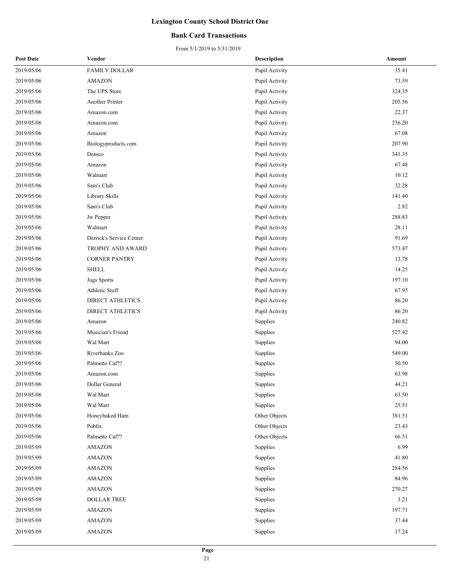#### **Bank Card Transactions**

| <b>Post Date</b> | Vendor                   | <b>Description</b> | Amount |
|------------------|--------------------------|--------------------|--------|
| 2019/05/06       | <b>FAMILY DOLLAR</b>     | Pupil Activity     | 35.41  |
| 2019/05/06       | <b>AMAZON</b>            | Pupil Activity     | 73.59  |
| 2019/05/06       | The UPS Store            | Pupil Activity     | 324.35 |
| 2019/05/06       | Another Printer          | Pupil Activity     | 205.56 |
| 2019/05/06       | Amazon.com               | Pupil Activity     | 22.37  |
| 2019/05/06       | Amazon.com               | Pupil Activity     | 256.20 |
| 2019/05/06       | Amazon                   | Pupil Activity     | 67.08  |
| 2019/05/06       | Biologyproducts.com      | Pupil Activity     | 207.90 |
| 2019/05/06       | Demco                    | Pupil Activity     | 341.35 |
| 2019/05/06       | Amazon                   | Pupil Activity     | 67.48  |
| 2019/05/06       | Walmart                  | Pupil Activity     | 10.12  |
| 2019/05/06       | Sam's Club               | Pupil Activity     | 32.28  |
| 2019/05/06       | Library Skills           | Pupil Activity     | 141.40 |
| 2019/05/06       | Sam's Club               | Pupil Activity     | 2.82   |
| 2019/05/06       | Jw Pepper                | Pupil Activity     | 288.83 |
| 2019/05/06       | Walmart                  | Pupil Activity     | 28.11  |
| 2019/05/06       | Derrick's Service Center | Pupil Activity     | 91.69  |
| 2019/05/06       | TROPHY AND AWARD         | Pupil Activity     | 573.47 |
| 2019/05/06       | <b>CORNER PANTRY</b>     | Pupil Activity     | 13.78  |
| 2019/05/06       | <b>SHELL</b>             | Pupil Activity     | 14.25  |
| 2019/05/06       | <b>Jugs Sports</b>       | Pupil Activity     | 197.10 |
| 2019/05/06       | Athletic Stuff           | Pupil Activity     | 67.95  |
| 2019/05/06       | <b>DIRECT ATHLETICS</b>  | Pupil Activity     | 86.20  |
| 2019/05/06       | <b>DIRECT ATHLETICS</b>  | Pupil Activity     | 86.20  |
| 2019/05/06       | Amazon                   | Supplies           | 240.82 |
| 2019/05/06       | Musician's Friend        | Supplies           | 527.42 |
| 2019/05/06       | Wal Mart                 | Supplies           | 94.00  |
| 2019/05/06       | Riverbanks Zoo           | Supplies           | 549.00 |
| 2019/05/06       | Palmetto Caf??           | Supplies           | 50.50  |
| 2019/05/06       | Amazon.com               | Supplies           | 63.98  |
| 2019/05/06       | Dollar General           | Supplies           | 44.21  |
| 2019/05/06       | Wal Mart                 | Supplies           | 63.50  |
| 2019/05/06       | Wal Mart                 | Supplies           | 25.51  |
| 2019/05/06       | Honeybaked Ham           | Other Objects      | 381.51 |
| 2019/05/06       | Publix                   | Other Objects      | 23.43  |
| 2019/05/06       | Palmetto Caf??           | Other Objects      | 66.51  |
| 2019/05/09       | AMAZON                   | Supplies           | 6.99   |
| 2019/05/09       | <b>AMAZON</b>            | Supplies           | 41.80  |
| 2019/05/09       | <b>AMAZON</b>            | Supplies           | 284.56 |
| 2019/05/09       | <b>AMAZON</b>            | Supplies           | 84.96  |
| 2019/05/09       | <b>AMAZON</b>            | Supplies           | 270.27 |
| 2019/05/09       | <b>DOLLAR TREE</b>       | Supplies           | 3.21   |
| 2019/05/09       | <b>AMAZON</b>            | Supplies           | 197.71 |
| 2019/05/09       | <b>AMAZON</b>            | Supplies           | 37.44  |
| 2019/05/09       | <b>AMAZON</b>            | Supplies           | 17.24  |
|                  |                          |                    |        |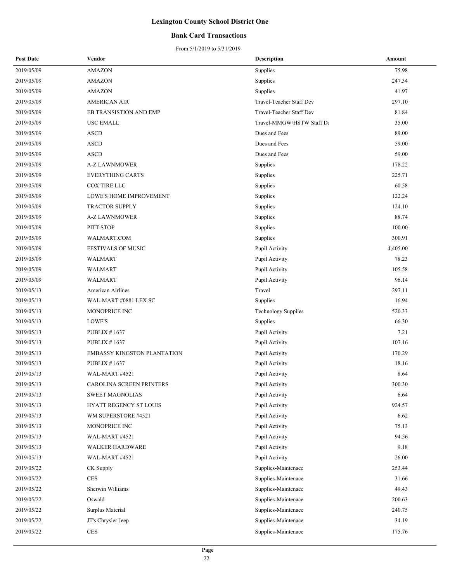#### **Bank Card Transactions**

| <b>Post Date</b> | Vendor                      | <b>Description</b>         | Amount   |
|------------------|-----------------------------|----------------------------|----------|
| 2019/05/09       | <b>AMAZON</b>               | Supplies                   | 75.98    |
| 2019/05/09       | <b>AMAZON</b>               | Supplies                   | 247.34   |
| 2019/05/09       | <b>AMAZON</b>               | Supplies                   | 41.97    |
| 2019/05/09       | <b>AMERICAN AIR</b>         | Travel-Teacher Staff Dev   | 297.10   |
| 2019/05/09       | EB TRANSISTION AND EMP      | Travel-Teacher Staff Dev   | 81.84    |
| 2019/05/09       | USC EMALL                   | Travel-MMGW/HSTW Staff De  | 35.00    |
| 2019/05/09       | <b>ASCD</b>                 | Dues and Fees              | 89.00    |
| 2019/05/09       | <b>ASCD</b>                 | Dues and Fees              | 59.00    |
| 2019/05/09       | <b>ASCD</b>                 | Dues and Fees              | 59.00    |
| 2019/05/09       | <b>A-Z LAWNMOWER</b>        | Supplies                   | 178.22   |
| 2019/05/09       | <b>EVERYTHING CARTS</b>     | Supplies                   | 225.71   |
| 2019/05/09       | COX TIRE LLC                | Supplies                   | 60.58    |
| 2019/05/09       | LOWE'S HOME IMPROVEMENT     | Supplies                   | 122.24   |
| 2019/05/09       | <b>TRACTOR SUPPLY</b>       | Supplies                   | 124.10   |
| 2019/05/09       | <b>A-Z LAWNMOWER</b>        | Supplies                   | 88.74    |
| 2019/05/09       | PITT STOP                   | Supplies                   | 100.00   |
| 2019/05/09       | WALMART.COM                 | Supplies                   | 300.91   |
| 2019/05/09       | <b>FESTIVALS OF MUSIC</b>   | Pupil Activity             | 4,405.00 |
| 2019/05/09       | WALMART                     | Pupil Activity             | 78.23    |
| 2019/05/09       | <b>WALMART</b>              | Pupil Activity             | 105.58   |
| 2019/05/09       | <b>WALMART</b>              | Pupil Activity             | 96.14    |
| 2019/05/13       | American Airlines           | Travel                     | 297.11   |
| 2019/05/13       | WAL-MART #0881 LEX SC       | Supplies                   | 16.94    |
| 2019/05/13       | MONOPRICE INC               | <b>Technology Supplies</b> | 520.33   |
| 2019/05/13       | LOWE'S                      | Supplies                   | 66.30    |
| 2019/05/13       | PUBLIX $# 1637$             | Pupil Activity             | 7.21     |
| 2019/05/13       | PUBLIX # $1637$             | Pupil Activity             | 107.16   |
| 2019/05/13       | EMBASSY KINGSTON PLANTATION | Pupil Activity             | 170.29   |
| 2019/05/13       | PUBLIX $# 1637$             | Pupil Activity             | 18.16    |
| 2019/05/13       | WAL-MART #4521              | Pupil Activity             | 8.64     |
| 2019/05/13       | CAROLINA SCREEN PRINTERS    | Pupil Activity             | 300.30   |
| 2019/05/13       | <b>SWEET MAGNOLIAS</b>      | Pupil Activity             | 6.64     |
| 2019/05/13       | HYATT REGENCY ST LOUIS      | Pupil Activity             | 924.57   |
| 2019/05/13       | WM SUPERSTORE #4521         | Pupil Activity             | 6.62     |
| 2019/05/13       | MONOPRICE INC               | Pupil Activity             | 75.13    |
| 2019/05/13       | WAL-MART #4521              | Pupil Activity             | 94.56    |
| 2019/05/13       | <b>WALKER HARDWARE</b>      | Pupil Activity             | 9.18     |
| 2019/05/13       | WAL-MART #4521              | Pupil Activity             | 26.00    |
| 2019/05/22       | CK Supply                   | Supplies-Maintenace        | 253.44   |
| 2019/05/22       | <b>CES</b>                  | Supplies-Maintenace        | 31.66    |
| 2019/05/22       | Sherwin Williams            | Supplies-Maintenace        | 49.43    |
| 2019/05/22       | Oswald                      | Supplies-Maintenace        | 200.63   |
| 2019/05/22       | Surplus Material            | Supplies-Maintenace        | 240.75   |
| 2019/05/22       | JT's Chrysler Jeep          | Supplies-Maintenace        | 34.19    |
| 2019/05/22       | CES                         | Supplies-Maintenace        | 175.76   |
|                  |                             |                            |          |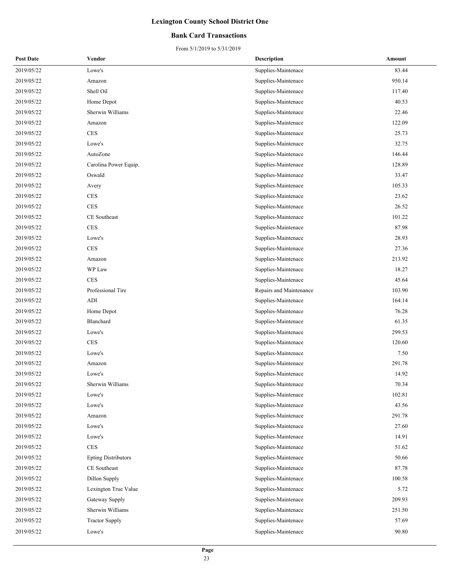#### **Bank Card Transactions**

| <b>Post Date</b> | Vendor                     | <b>Description</b>      | Amount |
|------------------|----------------------------|-------------------------|--------|
| 2019/05/22       | Lowe's                     | Supplies-Maintenace     | 83.44  |
| 2019/05/22       | Amazon                     | Supplies-Maintenace     | 950.14 |
| 2019/05/22       | Shell Oil                  | Supplies-Maintenace     | 117.40 |
| 2019/05/22       | Home Depot                 | Supplies-Maintenace     | 40.53  |
| 2019/05/22       | Sherwin Williams           | Supplies-Maintenace     | 22.46  |
| 2019/05/22       | Amazon                     | Supplies-Maintenace     | 122.09 |
| 2019/05/22       | <b>CES</b>                 | Supplies-Maintenace     | 25.73  |
| 2019/05/22       | Lowe's                     | Supplies-Maintenace     | 32.75  |
| 2019/05/22       | AutoZone                   | Supplies-Maintenace     | 146.44 |
| 2019/05/22       | Carolina Power Equip.      | Supplies-Maintenace     | 128.89 |
| 2019/05/22       | Oswald                     | Supplies-Maintenace     | 33.47  |
| 2019/05/22       | Avery                      | Supplies-Maintenace     | 105.33 |
| 2019/05/22       | <b>CES</b>                 | Supplies-Maintenace     | 23.62  |
| 2019/05/22       | <b>CES</b>                 | Supplies-Maintenace     | 26.52  |
| 2019/05/22       | CE Southeast               | Supplies-Maintenace     | 101.22 |
| 2019/05/22       | CES                        | Supplies-Maintenace     | 87.98  |
| 2019/05/22       | Lowe's                     | Supplies-Maintenace     | 28.93  |
| 2019/05/22       | <b>CES</b>                 | Supplies-Maintenace     | 27.36  |
| 2019/05/22       | Amazon                     | Supplies-Maintenace     | 213.92 |
| 2019/05/22       | WP Law                     | Supplies-Maintenace     | 18.27  |
| 2019/05/22       | <b>CES</b>                 | Supplies-Maintenace     | 45.64  |
| 2019/05/22       | Professional Tire          | Repairs and Maintenance | 103.90 |
| 2019/05/22       | ADI                        | Supplies-Maintenace     | 164.14 |
| 2019/05/22       | Home Depot                 | Supplies-Maintenace     | 76.28  |
| 2019/05/22       | Blanchard                  | Supplies-Maintenace     | 61.35  |
| 2019/05/22       | Lowe's                     | Supplies-Maintenace     | 299.53 |
| 2019/05/22       | <b>CES</b>                 | Supplies-Maintenace     | 120.60 |
| 2019/05/22       | Lowe's                     | Supplies-Maintenace     | 7.50   |
| 2019/05/22       | Amazon                     | Supplies-Maintenace     | 291.78 |
| 2019/05/22       | Lowe's                     | Supplies-Maintenace     | 14.92  |
| 2019/05/22       | Sherwin Williams           | Supplies-Maintenace     | 70.34  |
| 2019/05/22       | Lowe's                     | Supplies-Maintenace     | 102.81 |
| 2019/05/22       | Lowe's                     | Supplies-Maintenace     | 43.56  |
| 2019/05/22       | Amazon                     | Supplies-Maintenace     | 291.78 |
| 2019/05/22       | Lowe's                     | Supplies-Maintenace     | 27.60  |
| 2019/05/22       | Lowe's                     | Supplies-Maintenace     | 14.91  |
| 2019/05/22       | <b>CES</b>                 | Supplies-Maintenace     | 51.62  |
| 2019/05/22       | <b>Epting Distributors</b> | Supplies-Maintenace     | 50.66  |
| 2019/05/22       | CE Southeast               | Supplies-Maintenace     | 87.78  |
| 2019/05/22       | Dillon Supply              | Supplies-Maintenace     | 100.58 |
| 2019/05/22       | Lexington True Value       | Supplies-Maintenace     | 5.72   |
| 2019/05/22       | Gateway Supply             | Supplies-Maintenace     | 209.93 |
| 2019/05/22       | Sherwin Williams           | Supplies-Maintenace     | 251.50 |
| 2019/05/22       | <b>Tractor Supply</b>      | Supplies-Maintenace     | 57.69  |
| 2019/05/22       | Lowe's                     | Supplies-Maintenace     | 90.80  |
|                  |                            |                         |        |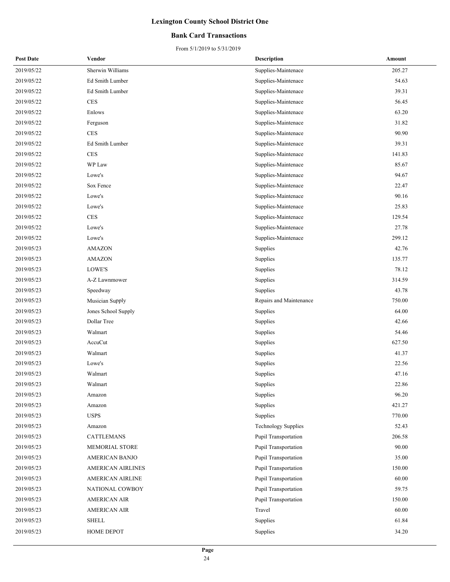#### **Bank Card Transactions**

| <b>Post Date</b> | Vendor                   | <b>Description</b>         | Amount |
|------------------|--------------------------|----------------------------|--------|
| 2019/05/22       | Sherwin Williams         | Supplies-Maintenace        | 205.27 |
| 2019/05/22       | Ed Smith Lumber          | Supplies-Maintenace        | 54.63  |
| 2019/05/22       | Ed Smith Lumber          | Supplies-Maintenace        | 39.31  |
| 2019/05/22       | $\mbox{CES}$             | Supplies-Maintenace        | 56.45  |
| 2019/05/22       | Enlows                   | Supplies-Maintenace        | 63.20  |
| 2019/05/22       | Ferguson                 | Supplies-Maintenace        | 31.82  |
| 2019/05/22       | <b>CES</b>               | Supplies-Maintenace        | 90.90  |
| 2019/05/22       | Ed Smith Lumber          | Supplies-Maintenace        | 39.31  |
| 2019/05/22       | $\rm{CES}$               | Supplies-Maintenace        | 141.83 |
| 2019/05/22       | WP Law                   | Supplies-Maintenace        | 85.67  |
| 2019/05/22       | Lowe's                   | Supplies-Maintenace        | 94.67  |
| 2019/05/22       | Sox Fence                | Supplies-Maintenace        | 22.47  |
| 2019/05/22       | Lowe's                   | Supplies-Maintenace        | 90.16  |
| 2019/05/22       | Lowe's                   | Supplies-Maintenace        | 25.83  |
| 2019/05/22       | <b>CES</b>               | Supplies-Maintenace        | 129.54 |
| 2019/05/22       | Lowe's                   | Supplies-Maintenace        | 27.78  |
| 2019/05/22       | $\rm{Lowe's}$            | Supplies-Maintenace        | 299.12 |
| 2019/05/23       | <b>AMAZON</b>            | Supplies                   | 42.76  |
| 2019/05/23       | <b>AMAZON</b>            | Supplies                   | 135.77 |
| 2019/05/23       | LOWE'S                   | Supplies                   | 78.12  |
| 2019/05/23       | A-Z Lawnmower            | Supplies                   | 314.59 |
| 2019/05/23       | Speedway                 | Supplies                   | 43.78  |
| 2019/05/23       | Musician Supply          | Repairs and Maintenance    | 750.00 |
| 2019/05/23       | Jones School Supply      | Supplies                   | 64.00  |
| 2019/05/23       | Dollar Tree              | Supplies                   | 42.66  |
| 2019/05/23       | Walmart                  | Supplies                   | 54.46  |
| 2019/05/23       | AccuCut                  | Supplies                   | 627.50 |
| 2019/05/23       | Walmart                  | Supplies                   | 41.37  |
| 2019/05/23       | Lowe's                   | Supplies                   | 22.56  |
| 2019/05/23       | Walmart                  | Supplies                   | 47.16  |
| 2019/05/23       | Walmart                  | Supplies                   | 22.86  |
| 2019/05/23       | Amazon                   | Supplies                   | 96.20  |
| 2019/05/23       | Amazon                   | Supplies                   | 421.27 |
| 2019/05/23       | <b>USPS</b>              | Supplies                   | 770.00 |
| 2019/05/23       | Amazon                   | <b>Technology Supplies</b> | 52.43  |
| 2019/05/23       | <b>CATTLEMANS</b>        | Pupil Transportation       | 206.58 |
| 2019/05/23       | MEMORIAL STORE           | Pupil Transportation       | 90.00  |
| 2019/05/23       | AMERICAN BANJO           | Pupil Transportation       | 35.00  |
| 2019/05/23       | <b>AMERICAN AIRLINES</b> | Pupil Transportation       | 150.00 |
| 2019/05/23       | AMERICAN AIRLINE         | Pupil Transportation       | 60.00  |
| 2019/05/23       | NATIONAL COWBOY          | Pupil Transportation       | 59.75  |
| 2019/05/23       | <b>AMERICAN AIR</b>      | Pupil Transportation       | 150.00 |
| 2019/05/23       | <b>AMERICAN AIR</b>      | Travel                     | 60.00  |
| 2019/05/23       | <b>SHELL</b>             | Supplies                   | 61.84  |
| 2019/05/23       | HOME DEPOT               | Supplies                   | 34.20  |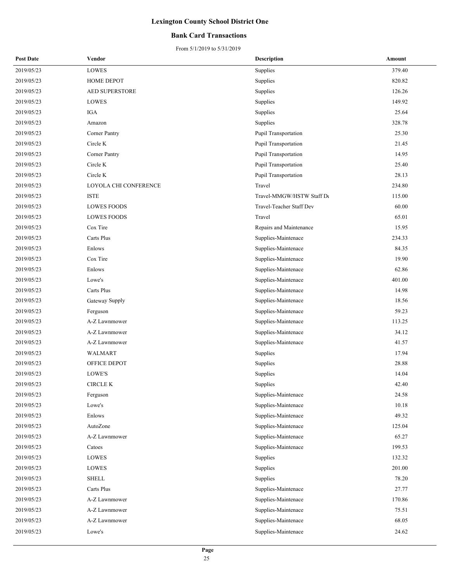#### **Bank Card Transactions**

| <b>Post Date</b> | Vendor                | <b>Description</b>        | Amount |
|------------------|-----------------------|---------------------------|--------|
| 2019/05/23       | LOWES                 | Supplies                  | 379.40 |
| 2019/05/23       | HOME DEPOT            | Supplies                  | 820.82 |
| 2019/05/23       | AED SUPERSTORE        | Supplies                  | 126.26 |
| 2019/05/23       | LOWES                 | Supplies                  | 149.92 |
| 2019/05/23       | IGA                   | Supplies                  | 25.64  |
| 2019/05/23       | Amazon                | Supplies                  | 328.78 |
| 2019/05/23       | Corner Pantry         | Pupil Transportation      | 25.30  |
| 2019/05/23       | Circle K              | Pupil Transportation      | 21.45  |
| 2019/05/23       | Corner Pantry         | Pupil Transportation      | 14.95  |
| 2019/05/23       | Circle K              | Pupil Transportation      | 25.40  |
| 2019/05/23       | Circle K              | Pupil Transportation      | 28.13  |
| 2019/05/23       | LOYOLA CHI CONFERENCE | Travel                    | 234.80 |
| 2019/05/23       | <b>ISTE</b>           | Travel-MMGW/HSTW Staff De | 115.00 |
| 2019/05/23       | <b>LOWES FOODS</b>    | Travel-Teacher Staff Dev  | 60.00  |
| 2019/05/23       | <b>LOWES FOODS</b>    | Travel                    | 65.01  |
| 2019/05/23       | Cox Tire              | Repairs and Maintenance   | 15.95  |
| 2019/05/23       | Carts Plus            | Supplies-Maintenace       | 234.33 |
| 2019/05/23       | Enlows                | Supplies-Maintenace       | 84.35  |
| 2019/05/23       | Cox Tire              | Supplies-Maintenace       | 19.90  |
| 2019/05/23       | Enlows                | Supplies-Maintenace       | 62.86  |
| 2019/05/23       | Lowe's                | Supplies-Maintenace       | 401.00 |
| 2019/05/23       | Carts Plus            | Supplies-Maintenace       | 14.98  |
| 2019/05/23       | Gateway Supply        | Supplies-Maintenace       | 18.56  |
| 2019/05/23       | Ferguson              | Supplies-Maintenace       | 59.23  |
| 2019/05/23       | A-Z Lawnmower         | Supplies-Maintenace       | 113.25 |
| 2019/05/23       | A-Z Lawnmower         | Supplies-Maintenace       | 34.12  |
| 2019/05/23       | A-Z Lawnmower         | Supplies-Maintenace       | 41.57  |
| 2019/05/23       | WALMART               | Supplies                  | 17.94  |
| 2019/05/23       | OFFICE DEPOT          | Supplies                  | 28.88  |
| 2019/05/23       | LOWE'S                | Supplies                  | 14.04  |
| 2019/05/23       | CIRCLE K              | Supplies                  | 42.40  |
| 2019/05/23       | Ferguson              | Supplies-Maintenace       | 24.58  |
| 2019/05/23       | Lowe's                | Supplies-Maintenace       | 10.18  |
| 2019/05/23       | Enlows                | Supplies-Maintenace       | 49.32  |
| 2019/05/23       | AutoZone              | Supplies-Maintenace       | 125.04 |
| 2019/05/23       | A-Z Lawnmower         | Supplies-Maintenace       | 65.27  |
| 2019/05/23       | Catoes                | Supplies-Maintenace       | 199.53 |
| 2019/05/23       | LOWES                 | Supplies                  | 132.32 |
| 2019/05/23       | LOWES                 | Supplies                  | 201.00 |
| 2019/05/23       | <b>SHELL</b>          | Supplies                  | 78.20  |
| 2019/05/23       | Carts Plus            | Supplies-Maintenace       | 27.77  |
| 2019/05/23       | A-Z Lawnmower         | Supplies-Maintenace       | 170.86 |
| 2019/05/23       | A-Z Lawnmower         | Supplies-Maintenace       | 75.51  |
| 2019/05/23       | A-Z Lawnmower         | Supplies-Maintenace       | 68.05  |
| 2019/05/23       | Lowe's                | Supplies-Maintenace       | 24.62  |
|                  |                       |                           |        |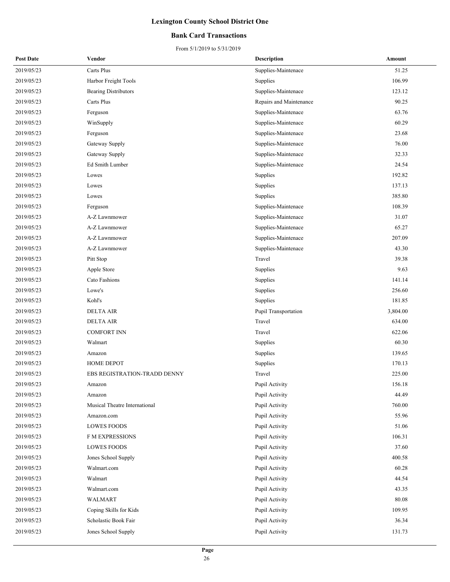#### **Bank Card Transactions**

| <b>Post Date</b> | Vendor                        | <b>Description</b>      | Amount   |
|------------------|-------------------------------|-------------------------|----------|
| 2019/05/23       | Carts Plus                    | Supplies-Maintenace     | 51.25    |
| 2019/05/23       | Harbor Freight Tools          | Supplies                | 106.99   |
| 2019/05/23       | <b>Bearing Distributors</b>   | Supplies-Maintenace     | 123.12   |
| 2019/05/23       | Carts Plus                    | Repairs and Maintenance | 90.25    |
| 2019/05/23       | Ferguson                      | Supplies-Maintenace     | 63.76    |
| 2019/05/23       | WinSupply                     | Supplies-Maintenace     | 60.29    |
| 2019/05/23       | Ferguson                      | Supplies-Maintenace     | 23.68    |
| 2019/05/23       | Gateway Supply                | Supplies-Maintenace     | 76.00    |
| 2019/05/23       | Gateway Supply                | Supplies-Maintenace     | 32.33    |
| 2019/05/23       | Ed Smith Lumber               | Supplies-Maintenace     | 24.54    |
| 2019/05/23       | Lowes                         | Supplies                | 192.82   |
| 2019/05/23       | Lowes                         | Supplies                | 137.13   |
| 2019/05/23       | Lowes                         | Supplies                | 385.80   |
| 2019/05/23       | Ferguson                      | Supplies-Maintenace     | 108.39   |
| 2019/05/23       | A-Z Lawnmower                 | Supplies-Maintenace     | 31.07    |
| 2019/05/23       | A-Z Lawnmower                 | Supplies-Maintenace     | 65.27    |
| 2019/05/23       | A-Z Lawnmower                 | Supplies-Maintenace     | 207.09   |
| 2019/05/23       | A-Z Lawnmower                 | Supplies-Maintenace     | 43.30    |
| 2019/05/23       | Pitt Stop                     | Travel                  | 39.38    |
| 2019/05/23       | Apple Store                   | Supplies                | 9.63     |
| 2019/05/23       | Cato Fashions                 | Supplies                | 141.14   |
| 2019/05/23       | Lowe's                        | Supplies                | 256.60   |
| 2019/05/23       | Kohl's                        | Supplies                | 181.85   |
| 2019/05/23       | <b>DELTA AIR</b>              | Pupil Transportation    | 3,804.00 |
| 2019/05/23       | <b>DELTA AIR</b>              | Travel                  | 634.00   |
| 2019/05/23       | <b>COMFORT INN</b>            | Travel                  | 622.06   |
| 2019/05/23       | Walmart                       | Supplies                | 60.30    |
| 2019/05/23       | Amazon                        | Supplies                | 139.65   |
| 2019/05/23       | <b>HOME DEPOT</b>             | Supplies                | 170.13   |
| 2019/05/23       | EBS REGISTRATION-TRADD DENNY  | Travel                  | 225.00   |
| 2019/05/23       | Amazon                        | Pupil Activity          | 156.18   |
| 2019/05/23       | Amazon                        | Pupil Activity          | 44.49    |
| 2019/05/23       | Musical Theatre International | Pupil Activity          | 760.00   |
| 2019/05/23       | Amazon.com                    | Pupil Activity          | 55.96    |
| 2019/05/23       | <b>LOWES FOODS</b>            | Pupil Activity          | 51.06    |
| 2019/05/23       | F M EXPRESSIONS               | Pupil Activity          | 106.31   |
| 2019/05/23       | <b>LOWES FOODS</b>            | Pupil Activity          | 37.60    |
| 2019/05/23       | Jones School Supply           | Pupil Activity          | 400.58   |
| 2019/05/23       | Walmart.com                   | Pupil Activity          | 60.28    |
| 2019/05/23       | Walmart                       | Pupil Activity          | 44.54    |
| 2019/05/23       | Walmart.com                   | Pupil Activity          | 43.35    |
| 2019/05/23       | WALMART                       | Pupil Activity          | 80.08    |
| 2019/05/23       | Coping Skills for Kids        | Pupil Activity          | 109.95   |
| 2019/05/23       | Scholastic Book Fair          | Pupil Activity          | 36.34    |
| 2019/05/23       | Jones School Supply           | Pupil Activity          | 131.73   |
|                  |                               |                         |          |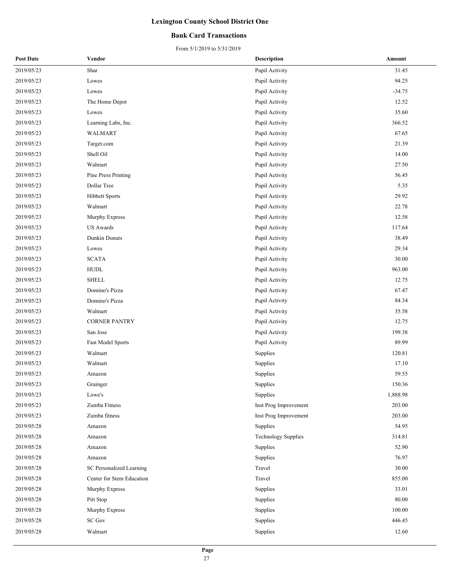#### **Bank Card Transactions**

| <b>Post Date</b> | Vendor                    | <b>Description</b>         | Amount   |
|------------------|---------------------------|----------------------------|----------|
| 2019/05/23       | Shar                      | Pupil Activity             | 31.45    |
| 2019/05/23       | Lowes                     | Pupil Activity             | 94.25    |
| 2019/05/23       | Lowes                     | Pupil Activity             | $-34.75$ |
| 2019/05/23       | The Home Depot            | Pupil Activity             | 12.52    |
| 2019/05/23       | Lowes                     | Pupil Activity             | 35.60    |
| 2019/05/23       | Learning Labs, Inc.       | Pupil Activity             | 366.52   |
| 2019/05/23       | WALMART                   | Pupil Activity             | 67.65    |
| 2019/05/23       | Target.com                | Pupil Activity             | 21.39    |
| 2019/05/23       | Shell Oil                 | Pupil Activity             | 14.00    |
| 2019/05/23       | Walmart                   | Pupil Activity             | 27.50    |
| 2019/05/23       | Pine Press Printing       | Pupil Activity             | 56.45    |
| 2019/05/23       | Dollar Tree               | Pupil Activity             | 5.35     |
| 2019/05/23       | <b>Hibbett Sports</b>     | Pupil Activity             | 29.92    |
| 2019/05/23       | Walmart                   | Pupil Activity             | 22.78    |
| 2019/05/23       | Murphy Express            | Pupil Activity             | 12.58    |
| 2019/05/23       | <b>US</b> Awards          | Pupil Activity             | 117.64   |
| 2019/05/23       | Dunkin Donuts             | Pupil Activity             | 38.49    |
| 2019/05/23       | Lowes                     | Pupil Activity             | 29.34    |
| 2019/05/23       | <b>SCATA</b>              | Pupil Activity             | 30.00    |
| 2019/05/23       | HUDL                      | Pupil Activity             | 963.00   |
| 2019/05/23       | <b>SHELL</b>              | Pupil Activity             | 12.75    |
| 2019/05/23       | Domino's Pizza            | Pupil Activity             | 67.47    |
| 2019/05/23       | Domino's Pizza            | Pupil Activity             | 84.34    |
| 2019/05/23       | Walmart                   | Pupil Activity             | 35.58    |
| 2019/05/23       | <b>CORNER PANTRY</b>      | Pupil Activity             | 12.75    |
| 2019/05/23       | San Jose                  | Pupil Activity             | 199.38   |
| 2019/05/23       | Fast Model Sports         | Pupil Activity             | 89.99    |
| 2019/05/23       | Walmart                   | Supplies                   | 120.81   |
| 2019/05/23       | Walmart                   | Supplies                   | 17.10    |
| 2019/05/23       | Amazon                    | Supplies                   | 59.55    |
| 2019/05/23       | Grainger                  | Supplies                   | 150.36   |
| 2019/05/23       | Lowe's                    | Supplies                   | 1,888.98 |
| 2019/05/23       | Zumba Fitness             | Inst Prog Improvement      | 203.00   |
| 2019/05/23       | Zumba fitness             | Inst Prog Improvement      | 203.00   |
| 2019/05/28       | Amazon                    | Supplies                   | 54.95    |
| 2019/05/28       | Amazon                    | <b>Technology Supplies</b> | 314.81   |
| 2019/05/28       | Amazon                    | Supplies                   | 52.90    |
| 2019/05/28       | Amazon                    | Supplies                   | 76.97    |
| 2019/05/28       | SC Personalized Learning  | Travel                     | 30.00    |
| 2019/05/28       | Center for Stem Education | Travel                     | 855.00   |
| 2019/05/28       | Murphy Express            | Supplies                   | 33.01    |
| 2019/05/28       | Pitt Stop                 | Supplies                   | 80.00    |
| 2019/05/28       | Murphy Express            | Supplies                   | 100.00   |
| 2019/05/28       | <b>SC Gov</b>             | Supplies                   | 446.45   |
| 2019/05/28       | Walmart                   | Supplies                   | 12.60    |
|                  |                           |                            |          |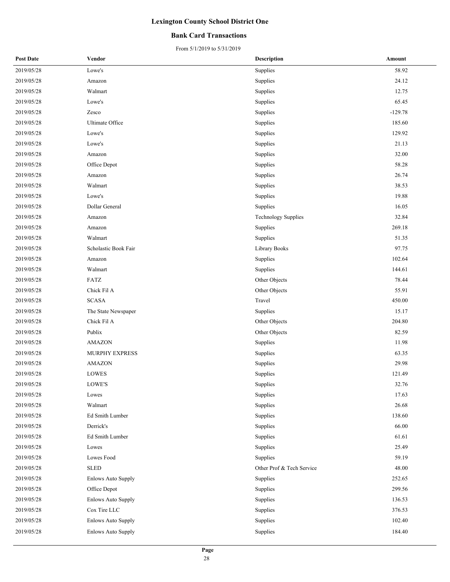#### **Bank Card Transactions**

| <b>Post Date</b> | Vendor                    | <b>Description</b>         | Amount    |
|------------------|---------------------------|----------------------------|-----------|
| 2019/05/28       | Lowe's                    | Supplies                   | 58.92     |
| 2019/05/28       | Amazon                    | Supplies                   | 24.12     |
| 2019/05/28       | Walmart                   | Supplies                   | 12.75     |
| 2019/05/28       | Lowe's                    | Supplies                   | 65.45     |
| 2019/05/28       | Zesco                     | Supplies                   | $-129.78$ |
| 2019/05/28       | Ultimate Office           | Supplies                   | 185.60    |
| 2019/05/28       | Lowe's                    | Supplies                   | 129.92    |
| 2019/05/28       | Lowe's                    | Supplies                   | 21.13     |
| 2019/05/28       | Amazon                    | Supplies                   | 32.00     |
| 2019/05/28       | Office Depot              | Supplies                   | 58.28     |
| 2019/05/28       | Amazon                    | Supplies                   | 26.74     |
| 2019/05/28       | Walmart                   | Supplies                   | 38.53     |
| 2019/05/28       | Lowe's                    | Supplies                   | 19.88     |
| 2019/05/28       | Dollar General            | Supplies                   | 16.05     |
| 2019/05/28       | Amazon                    | <b>Technology Supplies</b> | 32.84     |
| 2019/05/28       | Amazon                    | Supplies                   | 269.18    |
| 2019/05/28       | Walmart                   | Supplies                   | 51.35     |
| 2019/05/28       | Scholastic Book Fair      | Library Books              | 97.75     |
| 2019/05/28       | Amazon                    | Supplies                   | 102.64    |
| 2019/05/28       | Walmart                   | Supplies                   | 144.61    |
| 2019/05/28       | FATZ                      | Other Objects              | 78.44     |
| 2019/05/28       | Chick Fil A               | Other Objects              | 55.91     |
| 2019/05/28       | <b>SCASA</b>              | Travel                     | 450.00    |
| 2019/05/28       | The State Newspaper       | Supplies                   | 15.17     |
| 2019/05/28       | Chick Fil A               | Other Objects              | 204.80    |
| 2019/05/28       | Publix                    | Other Objects              | 82.59     |
| 2019/05/28       | <b>AMAZON</b>             | Supplies                   | 11.98     |
| 2019/05/28       | <b>MURPHY EXPRESS</b>     | Supplies                   | 63.35     |
| 2019/05/28       | <b>AMAZON</b>             | Supplies                   | 29.98     |
| 2019/05/28       | LOWES                     | Supplies                   | 121.49    |
| 2019/05/28       | LOWE'S                    | Supplies                   | 32.76     |
| 2019/05/28       | Lowes                     | Supplies                   | 17.63     |
| 2019/05/28       | Walmart                   | Supplies                   | 26.68     |
| 2019/05/28       | Ed Smith Lumber           | Supplies                   | 138.60    |
| 2019/05/28       | Derrick's                 | Supplies                   | 66.00     |
| 2019/05/28       | Ed Smith Lumber           | Supplies                   | 61.61     |
| 2019/05/28       | Lowes                     | Supplies                   | 25.49     |
| 2019/05/28       | Lowes Food                | Supplies                   | 59.19     |
| 2019/05/28       | <b>SLED</b>               | Other Prof & Tech Service  | 48.00     |
| 2019/05/28       | <b>Enlows Auto Supply</b> | Supplies                   | 252.65    |
| 2019/05/28       | Office Depot              | Supplies                   | 299.56    |
| 2019/05/28       | <b>Enlows Auto Supply</b> | Supplies                   | 136.53    |
| 2019/05/28       | Cox Tire LLC              | Supplies                   | 376.53    |
| 2019/05/28       | <b>Enlows Auto Supply</b> | Supplies                   | 102.40    |
| 2019/05/28       | <b>Enlows Auto Supply</b> | Supplies                   | 184.40    |
|                  |                           |                            |           |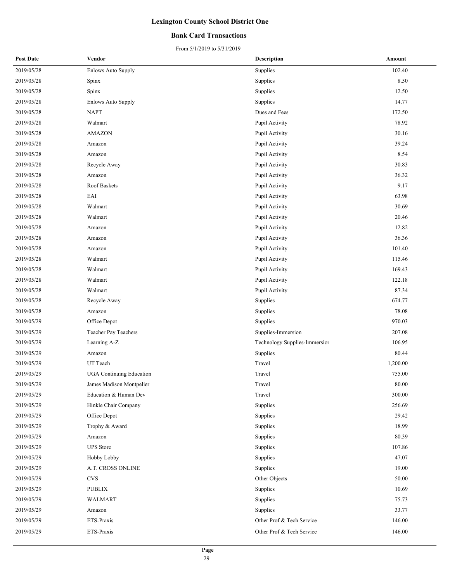#### **Bank Card Transactions**

| <b>Post Date</b> | Vendor                          | <b>Description</b>            | Amount   |
|------------------|---------------------------------|-------------------------------|----------|
| 2019/05/28       | <b>Enlows Auto Supply</b>       | Supplies                      | 102.40   |
| 2019/05/28       | Spinx                           | Supplies                      | 8.50     |
| 2019/05/28       | Spinx                           | Supplies                      | 12.50    |
| 2019/05/28       | <b>Enlows Auto Supply</b>       | Supplies                      | 14.77    |
| 2019/05/28       | <b>NAPT</b>                     | Dues and Fees                 | 172.50   |
| 2019/05/28       | Walmart                         | Pupil Activity                | 78.92    |
| 2019/05/28       | <b>AMAZON</b>                   | Pupil Activity                | 30.16    |
| 2019/05/28       | Amazon                          | Pupil Activity                | 39.24    |
| 2019/05/28       | Amazon                          | Pupil Activity                | 8.54     |
| 2019/05/28       | Recycle Away                    | Pupil Activity                | 30.83    |
| 2019/05/28       | Amazon                          | Pupil Activity                | 36.32    |
| 2019/05/28       | Roof Baskets                    | Pupil Activity                | 9.17     |
| 2019/05/28       | EAI                             | Pupil Activity                | 63.98    |
| 2019/05/28       | Walmart                         | Pupil Activity                | 30.69    |
| 2019/05/28       | Walmart                         | Pupil Activity                | 20.46    |
| 2019/05/28       | Amazon                          | Pupil Activity                | 12.82    |
| 2019/05/28       | Amazon                          | Pupil Activity                | 36.36    |
| 2019/05/28       | Amazon                          | Pupil Activity                | 101.40   |
| 2019/05/28       | Walmart                         | Pupil Activity                | 115.46   |
| 2019/05/28       | Walmart                         | Pupil Activity                | 169.43   |
| 2019/05/28       | Walmart                         | Pupil Activity                | 122.18   |
| 2019/05/28       | Walmart                         | Pupil Activity                | 87.34    |
| 2019/05/28       | Recycle Away                    | Supplies                      | 674.77   |
| 2019/05/28       | Amazon                          | Supplies                      | 78.08    |
| 2019/05/29       | Office Depot                    | Supplies                      | 970.03   |
| 2019/05/29       | Teacher Pay Teachers            | Supplies-Immersion            | 207.08   |
| 2019/05/29       | Learning A-Z                    | Technology Supplies-Immersior | 106.95   |
| 2019/05/29       | Amazon                          | Supplies                      | 80.44    |
| 2019/05/29       | UT Teach                        | Travel                        | 1,200.00 |
| 2019/05/29       | <b>UGA Continuing Education</b> | Travel                        | 755.00   |
| 2019/05/29       | James Madison Montpelier        | Travel                        | 80.00    |
| 2019/05/29       | Education & Human Dev           | Travel                        | 300.00   |
| 2019/05/29       | Hinkle Chair Company            | Supplies                      | 256.69   |
| 2019/05/29       | Office Depot                    | Supplies                      | 29.42    |
| 2019/05/29       | Trophy & Award                  | Supplies                      | 18.99    |
| 2019/05/29       | Amazon                          | Supplies                      | 80.39    |
| 2019/05/29       | <b>UPS</b> Store                | Supplies                      | 107.86   |
| 2019/05/29       | Hobby Lobby                     | Supplies                      | 47.07    |
| 2019/05/29       | A.T. CROSS ONLINE               | Supplies                      | 19.00    |
| 2019/05/29       | <b>CVS</b>                      | Other Objects                 | 50.00    |
| 2019/05/29       | <b>PUBLIX</b>                   | Supplies                      | 10.69    |
| 2019/05/29       | WALMART                         | Supplies                      | 75.73    |
| 2019/05/29       | Amazon                          | Supplies                      | 33.77    |
| 2019/05/29       | ETS-Praxis                      | Other Prof & Tech Service     | 146.00   |
| 2019/05/29       | ETS-Praxis                      | Other Prof & Tech Service     | 146.00   |
|                  |                                 |                               |          |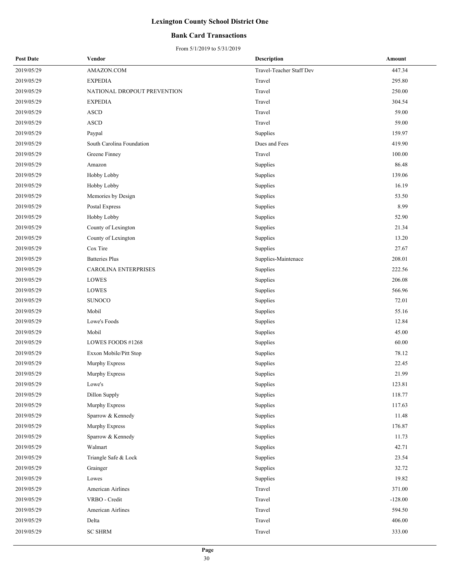#### **Bank Card Transactions**

| <b>Post Date</b> | Vendor                      | <b>Description</b>       | Amount    |
|------------------|-----------------------------|--------------------------|-----------|
| 2019/05/29       | AMAZON.COM                  | Travel-Teacher Staff Dev | 447.34    |
| 2019/05/29       | <b>EXPEDIA</b>              | Travel                   | 295.80    |
| 2019/05/29       | NATIONAL DROPOUT PREVENTION | Travel                   | 250.00    |
| 2019/05/29       | <b>EXPEDIA</b>              | Travel                   | 304.54    |
| 2019/05/29       | <b>ASCD</b>                 | Travel                   | 59.00     |
| 2019/05/29       | <b>ASCD</b>                 | Travel                   | 59.00     |
| 2019/05/29       | Paypal                      | Supplies                 | 159.97    |
| 2019/05/29       | South Carolina Foundation   | Dues and Fees            | 419.90    |
| 2019/05/29       | Greene Finney               | Travel                   | 100.00    |
| 2019/05/29       | Amazon                      | Supplies                 | 86.48     |
| 2019/05/29       | Hobby Lobby                 | Supplies                 | 139.06    |
| 2019/05/29       | Hobby Lobby                 | Supplies                 | 16.19     |
| 2019/05/29       | Memories by Design          | Supplies                 | 53.50     |
| 2019/05/29       | Postal Express              | Supplies                 | 8.99      |
| 2019/05/29       | Hobby Lobby                 | Supplies                 | 52.90     |
| 2019/05/29       | County of Lexington         | Supplies                 | 21.34     |
| 2019/05/29       | County of Lexington         | Supplies                 | 13.20     |
| 2019/05/29       | Cox Tire                    | Supplies                 | 27.67     |
| 2019/05/29       | <b>Batteries Plus</b>       | Supplies-Maintenace      | 208.01    |
| 2019/05/29       | CAROLINA ENTERPRISES        | Supplies                 | 222.56    |
| 2019/05/29       | LOWES                       | Supplies                 | 206.08    |
| 2019/05/29       | LOWES                       | Supplies                 | 566.96    |
| 2019/05/29       | <b>SUNOCO</b>               | Supplies                 | 72.01     |
| 2019/05/29       | Mobil                       | Supplies                 | 55.16     |
| 2019/05/29       | Lowe's Foods                | Supplies                 | 12.84     |
| 2019/05/29       | Mobil                       | Supplies                 | 45.00     |
| 2019/05/29       | LOWES FOODS #1268           | Supplies                 | 60.00     |
| 2019/05/29       | Exxon Mobile/Pitt Stop      | Supplies                 | 78.12     |
| 2019/05/29       | Murphy Express              | Supplies                 | 22.45     |
| 2019/05/29       | Murphy Express              | Supplies                 | 21.99     |
| 2019/05/29       | Lowe's                      | Supplies                 | 123.81    |
| 2019/05/29       | Dillon Supply               | Supplies                 | 118.77    |
| 2019/05/29       | Murphy Express              | Supplies                 | 117.63    |
| 2019/05/29       | Sparrow & Kennedy           | Supplies                 | 11.48     |
| 2019/05/29       | Murphy Express              | Supplies                 | 176.87    |
| 2019/05/29       | Sparrow & Kennedy           | Supplies                 | 11.73     |
| 2019/05/29       | Walmart                     | Supplies                 | 42.71     |
| 2019/05/29       | Triangle Safe & Lock        | Supplies                 | 23.54     |
| 2019/05/29       | Grainger                    | Supplies                 | 32.72     |
| 2019/05/29       | Lowes                       | Supplies                 | 19.82     |
| 2019/05/29       | American Airlines           | Travel                   | 371.00    |
| 2019/05/29       | VRBO - Credit               | Travel                   | $-128.00$ |
| 2019/05/29       | American Airlines           | Travel                   | 594.50    |
| 2019/05/29       | Delta                       | Travel                   | 406.00    |
| 2019/05/29       | <b>SC SHRM</b>              | Travel                   | 333.00    |
|                  |                             |                          |           |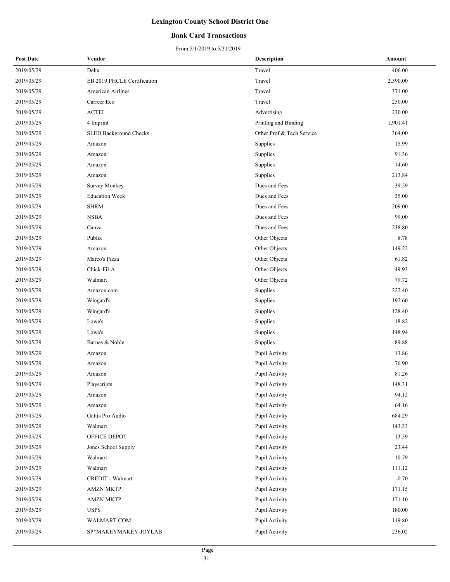#### **Bank Card Transactions**

| <b>Post Date</b> | Vendor                        | <b>Description</b>        | Amount   |
|------------------|-------------------------------|---------------------------|----------|
| 2019/05/29       | Delta                         | Travel                    | 406.00   |
| 2019/05/29       | EB 2019 PHCLE Certification   | Travel                    | 2,590.00 |
| 2019/05/29       | American Airlines             | Travel                    | 371.00   |
| 2019/05/29       | Carreer Eco                   | Travel                    | 250.00   |
| 2019/05/29       | <b>ACTEL</b>                  | Advertising               | 230.00   |
| 2019/05/29       | 4 Imprint                     | Printing and Binding      | 1,901.41 |
| 2019/05/29       | <b>SLED Background Checks</b> | Other Prof & Tech Service | 364.00   |
| 2019/05/29       | Amazon                        | Supplies                  | 15.99    |
| 2019/05/29       | Amazon                        | Supplies                  | 91.36    |
| 2019/05/29       | Amazon                        | Supplies                  | 14.60    |
| 2019/05/29       | Amazon                        | Supplies                  | 213.84   |
| 2019/05/29       | <b>Survey Monkey</b>          | Dues and Fees             | 39.59    |
| 2019/05/29       | <b>Education Week</b>         | Dues and Fees             | 35.00    |
| 2019/05/29       | <b>SHRM</b>                   | Dues and Fees             | 209.00   |
| 2019/05/29       | <b>NSBA</b>                   | Dues and Fees             | 99.00    |
| 2019/05/29       | Canva                         | Dues and Fees             | 238.80   |
| 2019/05/29       | Publix                        | Other Objects             | 8.78     |
| 2019/05/29       | Amazon                        | Other Objects             | 149.22   |
| 2019/05/29       | Marco's Pizza                 | Other Objects             | 61.82    |
| 2019/05/29       | Chick-Fil-A                   | Other Objects             | 49.93    |
| 2019/05/29       | Walmart                       | Other Objects             | 79.72    |
| 2019/05/29       | Amazon.com                    | Supplies                  | 227.40   |
| 2019/05/29       | Wingard's                     | Supplies                  | 192.60   |
| 2019/05/29       | Wingard's                     | Supplies                  | 128.40   |
| 2019/05/29       | Lowe's                        | Supplies                  | 18.82    |
| 2019/05/29       | Lowe's                        | Supplies                  | 148.94   |
| 2019/05/29       | Barnes & Noble                | Supplies                  | 89.88    |
| 2019/05/29       | Amazon                        | Pupil Activity            | 13.86    |
| 2019/05/29       | Amazon                        | Pupil Activity            | 76.90    |
| 2019/05/29       | Amazon                        | Pupil Activity            | 81.26    |
| 2019/05/29       | Playscripts                   | Pupil Activity            | 148.31   |
| 2019/05/29       | Amazon                        | Pupil Activity            | 94.12    |
| 2019/05/29       | Amazon                        | Pupil Activity            | 64.16    |
| 2019/05/29       | Gattis Pro Audio              | Pupil Activity            | 684.29   |
| 2019/05/29       | Walmart                       | Pupil Activity            | 143.33   |
| 2019/05/29       | OFFICE DEPOT                  | Pupil Activity            | 13.59    |
| 2019/05/29       | Jones School Supply           | Pupil Activity            | 23.44    |
| 2019/05/29       | Walmart                       | Pupil Activity            | 10.79    |
| 2019/05/29       | Walmart                       | Pupil Activity            | 111.12   |
| 2019/05/29       | CREDIT - Walmart              | Pupil Activity            | $-0.70$  |
| 2019/05/29       | <b>AMZN MKTP</b>              | Pupil Activity            | 171.15   |
| 2019/05/29       | <b>AMZN MKTP</b>              | Pupil Activity            | 171.10   |
| 2019/05/29       | <b>USPS</b>                   | Pupil Activity            | 180.00   |
| 2019/05/29       | WALMART.COM                   | Pupil Activity            | 119.80   |
| 2019/05/29       | SP*MAKEYMAKEY-JOYLAB          | Pupil Activity            | 236.02   |
|                  |                               |                           |          |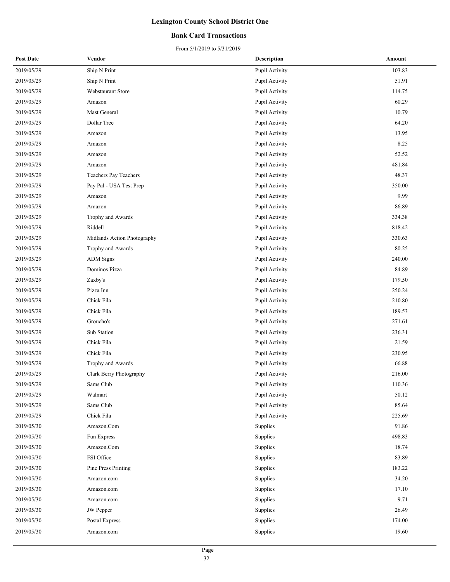#### **Bank Card Transactions**

| <b>Post Date</b> | Vendor                      | <b>Description</b> | Amount |
|------------------|-----------------------------|--------------------|--------|
| 2019/05/29       | Ship N Print                | Pupil Activity     | 103.83 |
| 2019/05/29       | Ship N Print                | Pupil Activity     | 51.91  |
| 2019/05/29       | Webstaurant Store           | Pupil Activity     | 114.75 |
| 2019/05/29       | Amazon                      | Pupil Activity     | 60.29  |
| 2019/05/29       | Mast General                | Pupil Activity     | 10.79  |
| 2019/05/29       | Dollar Tree                 | Pupil Activity     | 64.20  |
| 2019/05/29       | Amazon                      | Pupil Activity     | 13.95  |
| 2019/05/29       | Amazon                      | Pupil Activity     | 8.25   |
| 2019/05/29       | Amazon                      | Pupil Activity     | 52.52  |
| 2019/05/29       | Amazon                      | Pupil Activity     | 481.84 |
| 2019/05/29       | Teachers Pay Teachers       | Pupil Activity     | 48.37  |
| 2019/05/29       | Pay Pal - USA Test Prep     | Pupil Activity     | 350.00 |
| 2019/05/29       | Amazon                      | Pupil Activity     | 9.99   |
| 2019/05/29       | Amazon                      | Pupil Activity     | 86.89  |
| 2019/05/29       | Trophy and Awards           | Pupil Activity     | 334.38 |
| 2019/05/29       | Riddell                     | Pupil Activity     | 818.42 |
| 2019/05/29       | Midlands Action Photography | Pupil Activity     | 330.63 |
| 2019/05/29       | Trophy and Awards           | Pupil Activity     | 80.25  |
| 2019/05/29       | <b>ADM</b> Signs            | Pupil Activity     | 240.00 |
| 2019/05/29       | Dominos Pizza               | Pupil Activity     | 84.89  |
| 2019/05/29       | Zaxby's                     | Pupil Activity     | 179.50 |
| 2019/05/29       | Pizza Inn                   | Pupil Activity     | 250.24 |
| 2019/05/29       | Chick Fila                  | Pupil Activity     | 210.80 |
| 2019/05/29       | Chick Fila                  | Pupil Activity     | 189.53 |
| 2019/05/29       | Groucho's                   | Pupil Activity     | 271.61 |
| 2019/05/29       | Sub Station                 | Pupil Activity     | 236.31 |
| 2019/05/29       | Chick Fila                  | Pupil Activity     | 21.59  |
| 2019/05/29       | Chick Fila                  | Pupil Activity     | 230.95 |
| 2019/05/29       | Trophy and Awards           | Pupil Activity     | 66.88  |
| 2019/05/29       | Clark Berry Photography     | Pupil Activity     | 216.00 |
| 2019/05/29       | Sams Club                   | Pupil Activity     | 110.36 |
| 2019/05/29       | Walmart                     | Pupil Activity     | 50.12  |
| 2019/05/29       | Sams Club                   | Pupil Activity     | 85.64  |
| 2019/05/29       | Chick Fila                  | Pupil Activity     | 225.69 |
| 2019/05/30       | Amazon.Com                  | Supplies           | 91.86  |
| 2019/05/30       | Fun Express                 | Supplies           | 498.83 |
| 2019/05/30       | Amazon.Com                  | Supplies           | 18.74  |
| 2019/05/30       | FSI Office                  | Supplies           | 83.89  |
| 2019/05/30       | Pine Press Printing         | Supplies           | 183.22 |
| 2019/05/30       | Amazon.com                  | Supplies           | 34.20  |
| 2019/05/30       | Amazon.com                  | Supplies           | 17.10  |
| 2019/05/30       | Amazon.com                  | Supplies           | 9.71   |
| 2019/05/30       | JW Pepper                   | Supplies           | 26.49  |
| 2019/05/30       | Postal Express              | Supplies           | 174.00 |
| 2019/05/30       | Amazon.com                  | Supplies           | 19.60  |
|                  |                             |                    |        |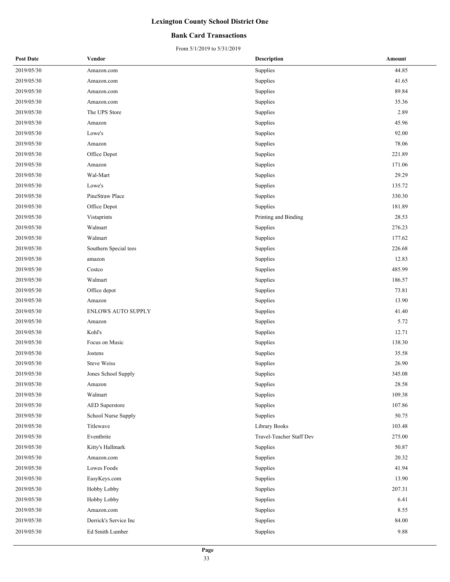#### **Bank Card Transactions**

| <b>Post Date</b> | Vendor                    | <b>Description</b>       | Amount |
|------------------|---------------------------|--------------------------|--------|
| 2019/05/30       | Amazon.com                | Supplies                 | 44.85  |
| 2019/05/30       | Amazon.com                | Supplies                 | 41.65  |
| 2019/05/30       | Amazon.com                | Supplies                 | 89.84  |
| 2019/05/30       | Amazon.com                | Supplies                 | 35.36  |
| 2019/05/30       | The UPS Store             | Supplies                 | 2.89   |
| 2019/05/30       | Amazon                    | Supplies                 | 45.96  |
| 2019/05/30       | Lowe's                    | Supplies                 | 92.00  |
| 2019/05/30       | Amazon                    | Supplies                 | 78.06  |
| 2019/05/30       | Office Depot              | Supplies                 | 221.89 |
| 2019/05/30       | Amazon                    | Supplies                 | 171.06 |
| 2019/05/30       | Wal-Mart                  | Supplies                 | 29.29  |
| 2019/05/30       | Lowe's                    | Supplies                 | 135.72 |
| 2019/05/30       | PineStraw Place           | Supplies                 | 330.30 |
| 2019/05/30       | Office Depot              | Supplies                 | 181.89 |
| 2019/05/30       | Vistaprints               | Printing and Binding     | 28.53  |
| 2019/05/30       | Walmart                   | Supplies                 | 276.23 |
| 2019/05/30       | Walmart                   | Supplies                 | 177.62 |
| 2019/05/30       | Southern Special tees     | Supplies                 | 226.68 |
| 2019/05/30       | amazon                    | Supplies                 | 12.83  |
| 2019/05/30       | Costco                    | Supplies                 | 485.99 |
| 2019/05/30       | Walmart                   | Supplies                 | 186.57 |
| 2019/05/30       | Office depot              | Supplies                 | 73.81  |
| 2019/05/30       | Amazon                    | Supplies                 | 13.90  |
| 2019/05/30       | <b>ENLOWS AUTO SUPPLY</b> | Supplies                 | 41.40  |
| 2019/05/30       | Amazon                    | Supplies                 | 5.72   |
| 2019/05/30       | Kohl's                    | Supplies                 | 12.71  |
| 2019/05/30       | Focus on Music            | Supplies                 | 138.30 |
| 2019/05/30       | Jostens                   | Supplies                 | 35.58  |
| 2019/05/30       | <b>Steve Weiss</b>        | Supplies                 | 26.90  |
| 2019/05/30       | Jones School Supply       | Supplies                 | 345.08 |
| 2019/05/30       | Amazon                    | Supplies                 | 28.58  |
| 2019/05/30       | Walmart                   | Supplies                 | 109.38 |
| 2019/05/30       | <b>AED</b> Superstore     | Supplies                 | 107.86 |
| 2019/05/30       | School Nurse Supply       | Supplies                 | 50.75  |
| 2019/05/30       | Titlewave                 | Library Books            | 103.48 |
| 2019/05/30       | Eventbrite                | Travel-Teacher Staff Dev | 275.00 |
| 2019/05/30       | Kitty's Hallmark          | Supplies                 | 50.87  |
| 2019/05/30       | Amazon.com                | Supplies                 | 20.32  |
| 2019/05/30       | Lowes Foods               | Supplies                 | 41.94  |
| 2019/05/30       | EasyKeys.com              | Supplies                 | 13.90  |
| 2019/05/30       | Hobby Lobby               | Supplies                 | 207.31 |
| 2019/05/30       | Hobby Lobby               | Supplies                 | 6.41   |
| 2019/05/30       | Amazon.com                | Supplies                 | 8.55   |
| 2019/05/30       | Derrick's Service Inc     | Supplies                 | 84.00  |
| 2019/05/30       | Ed Smith Lumber           | Supplies                 | 9.88   |
|                  |                           |                          |        |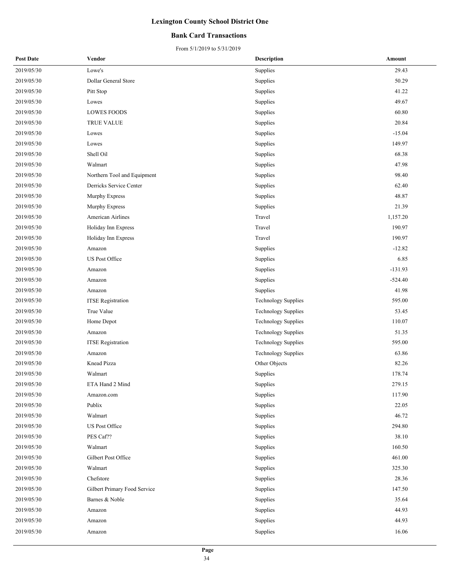#### **Bank Card Transactions**

| <b>Post Date</b> | Vendor                       | <b>Description</b>         | Amount    |
|------------------|------------------------------|----------------------------|-----------|
| 2019/05/30       | Lowe's                       | Supplies                   | 29.43     |
| 2019/05/30       | Dollar General Store         | Supplies                   | 50.29     |
| 2019/05/30       | Pitt Stop                    | Supplies                   | 41.22     |
| 2019/05/30       | Lowes                        | Supplies                   | 49.67     |
| 2019/05/30       | <b>LOWES FOODS</b>           | Supplies                   | 60.80     |
| 2019/05/30       | <b>TRUE VALUE</b>            | Supplies                   | 20.84     |
| 2019/05/30       | Lowes                        | Supplies                   | $-15.04$  |
| 2019/05/30       | Lowes                        | Supplies                   | 149.97    |
| 2019/05/30       | Shell Oil                    | Supplies                   | 68.38     |
| 2019/05/30       | Walmart                      | Supplies                   | 47.98     |
| 2019/05/30       | Northern Tool and Equipment  | Supplies                   | 98.40     |
| 2019/05/30       | Derricks Service Center      | Supplies                   | 62.40     |
| 2019/05/30       | Murphy Express               | Supplies                   | 48.87     |
| 2019/05/30       | Murphy Express               | Supplies                   | 21.39     |
| 2019/05/30       | <b>American Airlines</b>     | Travel                     | 1,157.20  |
| 2019/05/30       | Holiday Inn Express          | Travel                     | 190.97    |
| 2019/05/30       | Holiday Inn Express          | Travel                     | 190.97    |
| 2019/05/30       | Amazon                       | Supplies                   | $-12.82$  |
| 2019/05/30       | US Post Office               | Supplies                   | 6.85      |
| 2019/05/30       | Amazon                       | Supplies                   | $-131.93$ |
| 2019/05/30       | Amazon                       | Supplies                   | $-524.40$ |
| 2019/05/30       | Amazon                       | Supplies                   | 41.98     |
| 2019/05/30       | <b>ITSE</b> Registration     | <b>Technology Supplies</b> | 595.00    |
| 2019/05/30       | True Value                   | <b>Technology Supplies</b> | 53.45     |
| 2019/05/30       | Home Depot                   | Technology Supplies        | 110.07    |
| 2019/05/30       | Amazon                       | <b>Technology Supplies</b> | 51.35     |
| 2019/05/30       | <b>ITSE</b> Registration     | <b>Technology Supplies</b> | 595.00    |
| 2019/05/30       | Amazon                       | <b>Technology Supplies</b> | 63.86     |
| 2019/05/30       | Knead Pizza                  | Other Objects              | 82.26     |
| 2019/05/30       | Walmart                      | Supplies                   | 178.74    |
| 2019/05/30       | ETA Hand 2 Mind              | Supplies                   | 279.15    |
| 2019/05/30       | Amazon.com                   | Supplies                   | 117.90    |
| 2019/05/30       | Publix                       | Supplies                   | 22.05     |
| 2019/05/30       | Walmart                      | Supplies                   | 46.72     |
| 2019/05/30       | US Post Office               | Supplies                   | 294.80    |
| 2019/05/30       | PES Caf??                    | Supplies                   | 38.10     |
| 2019/05/30       | Walmart                      | Supplies                   | 160.50    |
| 2019/05/30       | Gilbert Post Office          | Supplies                   | 461.00    |
| 2019/05/30       | Walmart                      | Supplies                   | 325.30    |
| 2019/05/30       | Chefstore                    | Supplies                   | 28.36     |
| 2019/05/30       | Gilbert Primary Food Service | Supplies                   | 147.50    |
| 2019/05/30       | Barnes & Noble               | Supplies                   | 35.64     |
| 2019/05/30       | Amazon                       | Supplies                   | 44.93     |
| 2019/05/30       | Amazon                       | Supplies                   | 44.93     |
| 2019/05/30       | Amazon                       | Supplies                   | 16.06     |
|                  |                              |                            |           |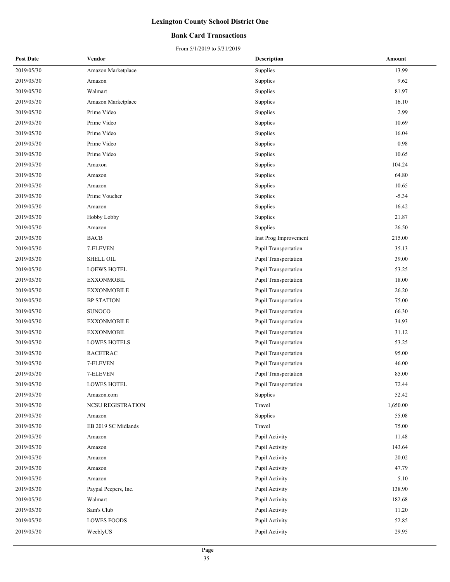#### **Bank Card Transactions**

| <b>Post Date</b> | Vendor               | <b>Description</b>          | Amount   |
|------------------|----------------------|-----------------------------|----------|
| 2019/05/30       | Amazon Marketplace   | Supplies                    | 13.99    |
| 2019/05/30       | Amazon               | Supplies                    | 9.62     |
| 2019/05/30       | Walmart              | Supplies                    | 81.97    |
| 2019/05/30       | Amazon Marketplace   | Supplies                    | 16.10    |
| 2019/05/30       | Prime Video          | Supplies                    | 2.99     |
| 2019/05/30       | Prime Video          | Supplies                    | 10.69    |
| 2019/05/30       | Prime Video          | Supplies                    | 16.04    |
| 2019/05/30       | Prime Video          | Supplies                    | 0.98     |
| 2019/05/30       | Prime Video          | Supplies                    | 10.65    |
| 2019/05/30       | Amaxon               | Supplies                    | 104.24   |
| 2019/05/30       | Amazon               | Supplies                    | 64.80    |
| 2019/05/30       | Amazon               | Supplies                    | 10.65    |
| 2019/05/30       | Prime Voucher        | Supplies                    | $-5.34$  |
| 2019/05/30       | Amazon               | Supplies                    | 16.42    |
| 2019/05/30       | Hobby Lobby          | Supplies                    | 21.87    |
| 2019/05/30       | Amazon               | Supplies                    | 26.50    |
| 2019/05/30       | <b>BACB</b>          | Inst Prog Improvement       | 215.00   |
| 2019/05/30       | 7-ELEVEN             | Pupil Transportation        | 35.13    |
| 2019/05/30       | <b>SHELL OIL</b>     | Pupil Transportation        | 39.00    |
| 2019/05/30       | <b>LOEWS HOTEL</b>   | <b>Pupil Transportation</b> | 53.25    |
| 2019/05/30       | <b>EXXONMOBIL</b>    | Pupil Transportation        | 18.00    |
| 2019/05/30       | <b>EXXONMOBILE</b>   | Pupil Transportation        | 26.20    |
| 2019/05/30       | <b>BP STATION</b>    | Pupil Transportation        | 75.00    |
| 2019/05/30       | <b>SUNOCO</b>        | Pupil Transportation        | 66.30    |
| 2019/05/30       | <b>EXXONMOBILE</b>   | Pupil Transportation        | 34.93    |
| 2019/05/30       | <b>EXXONMOBIL</b>    | Pupil Transportation        | 31.12    |
| 2019/05/30       | <b>LOWES HOTELS</b>  | Pupil Transportation        | 53.25    |
| 2019/05/30       | <b>RACETRAC</b>      | Pupil Transportation        | 95.00    |
| 2019/05/30       | 7-ELEVEN             | Pupil Transportation        | 46.00    |
| 2019/05/30       | 7-ELEVEN             | Pupil Transportation        | 85.00    |
| 2019/05/30       | <b>LOWES HOTEL</b>   | Pupil Transportation        | 72.44    |
| 2019/05/30       | Amazon.com           | Supplies                    | 52.42    |
| 2019/05/30       | NCSU REGISTRATION    | Travel                      | 1,650.00 |
| 2019/05/30       | Amazon               | Supplies                    | 55.08    |
| 2019/05/30       | EB 2019 SC Midlands  | Travel                      | 75.00    |
| 2019/05/30       | Amazon               | Pupil Activity              | 11.48    |
| 2019/05/30       | Amazon               | Pupil Activity              | 143.64   |
| 2019/05/30       | Amazon               | Pupil Activity              | 20.02    |
| 2019/05/30       | Amazon               | Pupil Activity              | 47.79    |
| 2019/05/30       | Amazon               | Pupil Activity              | 5.10     |
| 2019/05/30       | Paypal Peepers, Inc. | Pupil Activity              | 138.90   |
| 2019/05/30       | Walmart              | Pupil Activity              | 182.68   |
| 2019/05/30       | Sam's Club           | Pupil Activity              | 11.20    |
| 2019/05/30       | <b>LOWES FOODS</b>   | Pupil Activity              | 52.85    |
| 2019/05/30       | WeeblyUS             | Pupil Activity              | 29.95    |
|                  |                      |                             |          |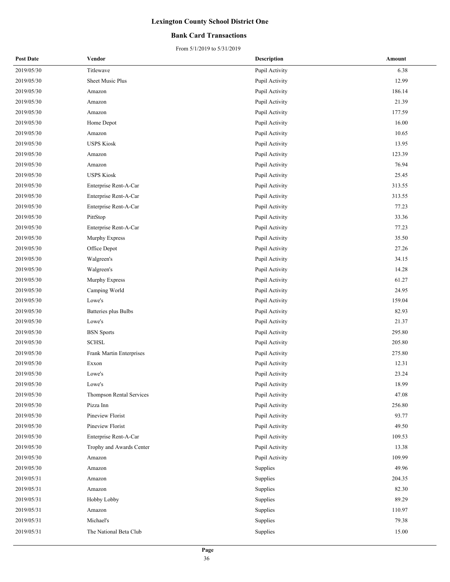#### **Bank Card Transactions**

| <b>Post Date</b> | Vendor                   | <b>Description</b> | Amount |
|------------------|--------------------------|--------------------|--------|
| 2019/05/30       | Titlewave                | Pupil Activity     | 6.38   |
| 2019/05/30       | Sheet Music Plus         | Pupil Activity     | 12.99  |
| 2019/05/30       | Amazon                   | Pupil Activity     | 186.14 |
| 2019/05/30       | Amazon                   | Pupil Activity     | 21.39  |
| 2019/05/30       | Amazon                   | Pupil Activity     | 177.59 |
| 2019/05/30       | Home Depot               | Pupil Activity     | 16.00  |
| 2019/05/30       | Amazon                   | Pupil Activity     | 10.65  |
| 2019/05/30       | <b>USPS Kiosk</b>        | Pupil Activity     | 13.95  |
| 2019/05/30       | Amazon                   | Pupil Activity     | 123.39 |
| 2019/05/30       | Amazon                   | Pupil Activity     | 76.94  |
| 2019/05/30       | <b>USPS Kiosk</b>        | Pupil Activity     | 25.45  |
| 2019/05/30       | Enterprise Rent-A-Car    | Pupil Activity     | 313.55 |
| 2019/05/30       | Enterprise Rent-A-Car    | Pupil Activity     | 313.55 |
| 2019/05/30       | Enterprise Rent-A-Car    | Pupil Activity     | 77.23  |
| 2019/05/30       | PittStop                 | Pupil Activity     | 33.36  |
| 2019/05/30       | Enterprise Rent-A-Car    | Pupil Activity     | 77.23  |
| 2019/05/30       | Murphy Express           | Pupil Activity     | 35.50  |
| 2019/05/30       | Office Depot             | Pupil Activity     | 27.26  |
| 2019/05/30       | Walgreen's               | Pupil Activity     | 34.15  |
| 2019/05/30       | Walgreen's               | Pupil Activity     | 14.28  |
| 2019/05/30       | Murphy Express           | Pupil Activity     | 61.27  |
| 2019/05/30       | Camping World            | Pupil Activity     | 24.95  |
| 2019/05/30       | Lowe's                   | Pupil Activity     | 159.04 |
| 2019/05/30       | Batteries plus Bulbs     | Pupil Activity     | 82.93  |
| 2019/05/30       | Lowe's                   | Pupil Activity     | 21.37  |
| 2019/05/30       | <b>BSN</b> Sports        | Pupil Activity     | 295.80 |
| 2019/05/30       | <b>SCHSL</b>             | Pupil Activity     | 205.80 |
| 2019/05/30       | Frank Martin Enterprises | Pupil Activity     | 275.80 |
| 2019/05/30       | Exxon                    | Pupil Activity     | 12.31  |
| 2019/05/30       | Lowe's                   | Pupil Activity     | 23.24  |
| 2019/05/30       | Lowe's                   | Pupil Activity     | 18.99  |
| 2019/05/30       | Thompson Rental Services | Pupil Activity     | 47.08  |
| 2019/05/30       | Pizza Inn                | Pupil Activity     | 256.80 |
| 2019/05/30       | Pineview Florist         | Pupil Activity     | 93.77  |
| 2019/05/30       | Pineview Florist         | Pupil Activity     | 49.50  |
| 2019/05/30       | Enterprise Rent-A-Car    | Pupil Activity     | 109.53 |
| 2019/05/30       | Trophy and Awards Center | Pupil Activity     | 13.38  |
| 2019/05/30       | Amazon                   | Pupil Activity     | 109.99 |
| 2019/05/30       | Amazon                   | Supplies           | 49.96  |
| 2019/05/31       | Amazon                   | Supplies           | 204.35 |
| 2019/05/31       | Amazon                   | Supplies           | 82.30  |
| 2019/05/31       | Hobby Lobby              | Supplies           | 89.29  |
| 2019/05/31       | Amazon                   | Supplies           | 110.97 |
| 2019/05/31       | Michael's                | Supplies           | 79.38  |
| 2019/05/31       | The National Beta Club   | Supplies           | 15.00  |
|                  |                          |                    |        |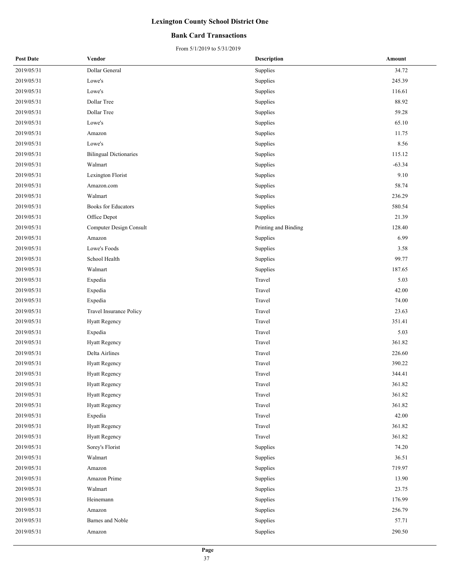#### **Bank Card Transactions**

| <b>Post Date</b> | Vendor                        | <b>Description</b>   | Amount   |
|------------------|-------------------------------|----------------------|----------|
| 2019/05/31       | Dollar General                | Supplies             | 34.72    |
| 2019/05/31       | Lowe's                        | Supplies             | 245.39   |
| 2019/05/31       | Lowe's                        | Supplies             | 116.61   |
| 2019/05/31       | Dollar Tree                   | Supplies             | 88.92    |
| 2019/05/31       | Dollar Tree                   | Supplies             | 59.28    |
| 2019/05/31       | Lowe's                        | Supplies             | 65.10    |
| 2019/05/31       | Amazon                        | Supplies             | 11.75    |
| 2019/05/31       | Lowe's                        | Supplies             | 8.56     |
| 2019/05/31       | <b>Bilingual Dictionaries</b> | Supplies             | 115.12   |
| 2019/05/31       | Walmart                       | Supplies             | $-63.34$ |
| 2019/05/31       | Lexington Florist             | Supplies             | 9.10     |
| 2019/05/31       | Amazon.com                    | Supplies             | 58.74    |
| 2019/05/31       | Walmart                       | Supplies             | 236.29   |
| 2019/05/31       | <b>Books</b> for Educators    | Supplies             | 580.54   |
| 2019/05/31       | Office Depot                  | Supplies             | 21.39    |
| 2019/05/31       | Computer Design Consult       | Printing and Binding | 128.40   |
| 2019/05/31       | Amazon                        | Supplies             | 6.99     |
| 2019/05/31       | Lowe's Foods                  | Supplies             | 3.58     |
| 2019/05/31       | School Health                 | Supplies             | 99.77    |
| 2019/05/31       | Walmart                       | Supplies             | 187.65   |
| 2019/05/31       | Expedia                       | Travel               | 5.03     |
| 2019/05/31       | Expedia                       | Travel               | 42.00    |
| 2019/05/31       | Expedia                       | Travel               | 74.00    |
| 2019/05/31       | Travel Insurance Policy       | Travel               | 23.63    |
| 2019/05/31       | <b>Hyatt Regency</b>          | Travel               | 351.41   |
| 2019/05/31       | Expedia                       | Travel               | 5.03     |
| 2019/05/31       | <b>Hyatt Regency</b>          | Travel               | 361.82   |
| 2019/05/31       | Delta Airlines                | Travel               | 226.60   |
| 2019/05/31       | <b>Hyatt Regency</b>          | Travel               | 390.22   |
| 2019/05/31       | <b>Hyatt Regency</b>          | Travel               | 344.41   |
| 2019/05/31       | Hyatt Regency                 | Travel               | 361.82   |
| 2019/05/31       | <b>Hyatt Regency</b>          | Travel               | 361.82   |
| 2019/05/31       | <b>Hyatt Regency</b>          | Travel               | 361.82   |
| 2019/05/31       | Expedia                       | Travel               | 42.00    |
| 2019/05/31       | <b>Hyatt Regency</b>          | Travel               | 361.82   |
| 2019/05/31       | Hyatt Regency                 | Travel               | 361.82   |
| 2019/05/31       | Sorey's Florist               | Supplies             | 74.20    |
| 2019/05/31       | Walmart                       | Supplies             | 36.51    |
| 2019/05/31       | Amazon                        | Supplies             | 719.97   |
| 2019/05/31       | Amazon Prime                  | Supplies             | 13.90    |
| 2019/05/31       | Walmart                       | Supplies             | 23.75    |
| 2019/05/31       | Heinemann                     | Supplies             | 176.99   |
| 2019/05/31       | Amazon                        | Supplies             | 256.79   |
| 2019/05/31       | Barnes and Noble              | Supplies             | 57.71    |
| 2019/05/31       | Amazon                        | Supplies             | 290.50   |
|                  |                               |                      |          |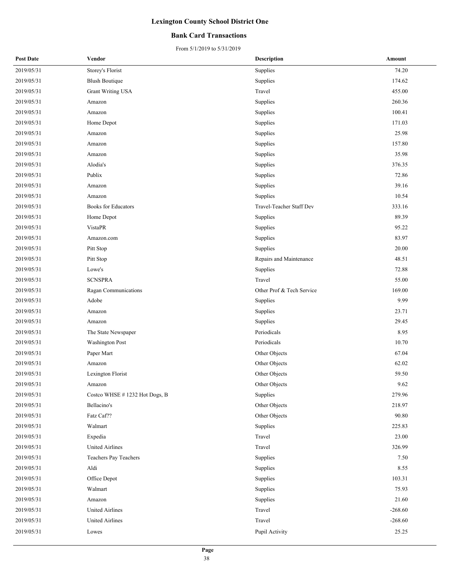#### **Bank Card Transactions**

| <b>Post Date</b> | Vendor                        | <b>Description</b>        | Amount    |
|------------------|-------------------------------|---------------------------|-----------|
| 2019/05/31       | Storey's Florist              | Supplies                  | 74.20     |
| 2019/05/31       | <b>Blush Boutique</b>         | Supplies                  | 174.62    |
| 2019/05/31       | <b>Grant Writing USA</b>      | Travel                    | 455.00    |
| 2019/05/31       | Amazon                        | Supplies                  | 260.36    |
| 2019/05/31       | Amazon                        | Supplies                  | 100.41    |
| 2019/05/31       | Home Depot                    | Supplies                  | 171.03    |
| 2019/05/31       | Amazon                        | Supplies                  | 25.98     |
| 2019/05/31       | Amazon                        | Supplies                  | 157.80    |
| 2019/05/31       | Amazon                        | Supplies                  | 35.98     |
| 2019/05/31       | Alodia's                      | Supplies                  | 376.35    |
| 2019/05/31       | Publix                        | Supplies                  | 72.86     |
| 2019/05/31       | Amazon                        | Supplies                  | 39.16     |
| 2019/05/31       | Amazon                        | Supplies                  | 10.54     |
| 2019/05/31       | <b>Books</b> for Educators    | Travel-Teacher Staff Dev  | 333.16    |
| 2019/05/31       | Home Depot                    | Supplies                  | 89.39     |
| 2019/05/31       | <b>VistaPR</b>                | Supplies                  | 95.22     |
| 2019/05/31       | Amazon.com                    | Supplies                  | 83.97     |
| 2019/05/31       | Pitt Stop                     | Supplies                  | 20.00     |
| 2019/05/31       | Pitt Stop                     | Repairs and Maintenance   | 48.51     |
| 2019/05/31       | Lowe's                        | Supplies                  | 72.88     |
| 2019/05/31       | <b>SCNSPRA</b>                | Travel                    | 55.00     |
| 2019/05/31       | Ragan Communications          | Other Prof & Tech Service | 169.00    |
| 2019/05/31       | Adobe                         | Supplies                  | 9.99      |
| 2019/05/31       | Amazon                        | Supplies                  | 23.71     |
| 2019/05/31       | Amazon                        | Supplies                  | 29.45     |
| 2019/05/31       | The State Newspaper           | Periodicals               | 8.95      |
| 2019/05/31       | <b>Washington Post</b>        | Periodicals               | 10.70     |
| 2019/05/31       | Paper Mart                    | Other Objects             | 67.04     |
| 2019/05/31       | Amazon                        | Other Objects             | 62.02     |
| 2019/05/31       | Lexington Florist             | Other Objects             | 59.50     |
| 2019/05/31       | Amazon                        | Other Objects             | 9.62      |
| 2019/05/31       | Costco WHSE #1232 Hot Dogs, B | Supplies                  | 279.96    |
| 2019/05/31       | Bellacino's                   | Other Objects             | 218.97    |
| 2019/05/31       | Fatz Caf??                    | Other Objects             | 90.80     |
| 2019/05/31       | Walmart                       | Supplies                  | 225.83    |
| 2019/05/31       | Expedia                       | Travel                    | 23.00     |
| 2019/05/31       | <b>United Airlines</b>        | Travel                    | 326.99    |
| 2019/05/31       | Teachers Pay Teachers         | Supplies                  | 7.50      |
| 2019/05/31       | Aldi                          | Supplies                  | 8.55      |
| 2019/05/31       | Office Depot                  | Supplies                  | 103.31    |
| 2019/05/31       | Walmart                       | Supplies                  | 75.93     |
| 2019/05/31       | Amazon                        | Supplies                  | 21.60     |
| 2019/05/31       | <b>United Airlines</b>        | Travel                    | $-268.60$ |
| 2019/05/31       | United Airlines               | Travel                    | $-268.60$ |
| 2019/05/31       | Lowes                         | Pupil Activity            | 25.25     |
|                  |                               |                           |           |